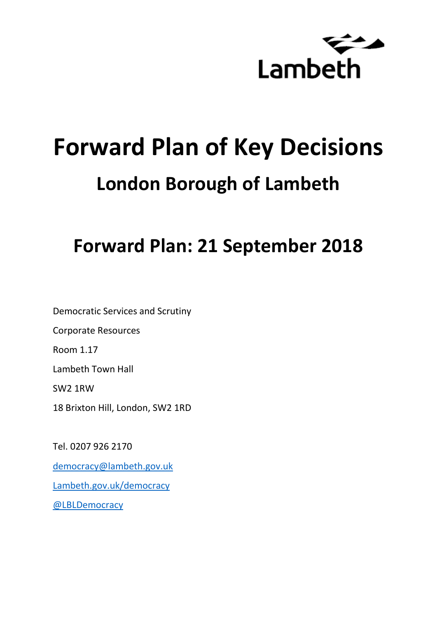

# **Forward Plan of Key Decisions London Borough of Lambeth**

# **Forward Plan: 21 September 2018**

Democratic Services and Scrutiny Corporate Resources Room 1.17 Lambeth Town Hall SW2 1RW 18 Brixton Hill, London, SW2 1RD

Tel. 0207 926 2170 [democracy@lambeth.gov.uk](mailto:democracy@lambeth.gov.uk) [Lambeth.gov.uk/democracy](https://www.lambeth.gov.uk/elections-and-council/meetings-minutes-and-agendas/getting-involved-in-decision-making-guide) [@LBLDemocracy](https://twitter.com/LBLDemocracy?lang=en)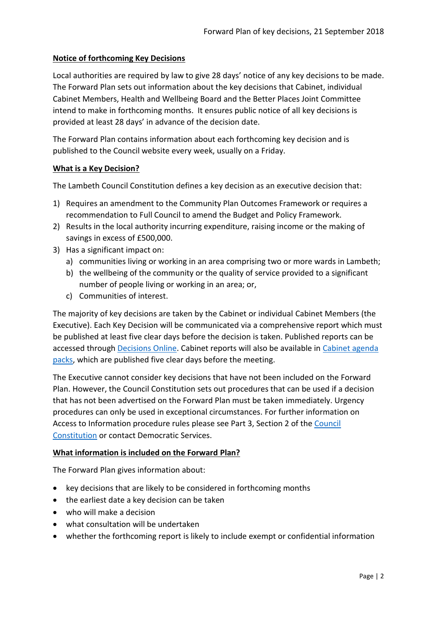# **Notice of forthcoming Key Decisions**

Local authorities are required by law to give 28 days' notice of any key decisions to be made. The Forward Plan sets out information about the key decisions that Cabinet, individual Cabinet Members, Health and Wellbeing Board and the Better Places Joint Committee intend to make in forthcoming months. It ensures public notice of all key decisions is provided at least 28 days' in advance of the decision date.

The Forward Plan contains information about each forthcoming key decision and is published to the Council website every week, usually on a Friday.

#### **What is a Key Decision?**

The Lambeth Council Constitution defines a key decision as an executive decision that:

- 1) Requires an amendment to the Community Plan Outcomes Framework or requires a recommendation to Full Council to amend the Budget and Policy Framework.
- 2) Results in the local authority incurring expenditure, raising income or the making of savings in excess of £500,000.
- 3) Has a significant impact on:
	- a) communities living or working in an area comprising two or more wards in Lambeth;
	- b) the wellbeing of the community or the quality of service provided to a significant number of people living or working in an area; or,
	- c) Communities of interest.

The majority of key decisions are taken by the Cabinet or individual Cabinet Members (the Executive). Each Key Decision will be communicated via a comprehensive report which must be published at least five clear days before the decision is taken. Published reports can be accessed through [Decisions Online.](http://moderngov.lambeth.gov.uk/mgDelegatedDecisions.aspx?bcr=1&DM=0&DS=2&K=0&DR=&V=0) Cabinet reports will also be available in [Cabinet agenda](https://moderngov.lambeth.gov.uk/ieListMeetings.aspx?CommitteeId=225)  [packs,](https://moderngov.lambeth.gov.uk/ieListMeetings.aspx?CommitteeId=225) which are published five clear days before the meeting.

The Executive cannot consider key decisions that have not been included on the Forward Plan. However, the Council Constitution sets out procedures that can be used if a decision that has not been advertised on the Forward Plan must be taken immediately. Urgency procedures can only be used in exceptional circumstances. For further information on Access to Information procedure rules please see Part 3, Section 2 of the [Council](http://moderngov.lambeth.gov.uk/ieListMeetings.aspx?CId=738&info=1&MD=Constitution)  [Constitution](http://moderngov.lambeth.gov.uk/ieListMeetings.aspx?CId=738&info=1&MD=Constitution) or contact Democratic Services.

# **What information is included on the Forward Plan?**

The Forward Plan gives information about:

- key decisions that are likely to be considered in forthcoming months
- the earliest date a key decision can be taken
- who will make a decision
- what consultation will be undertaken
- whether the forthcoming report is likely to include exempt or confidential information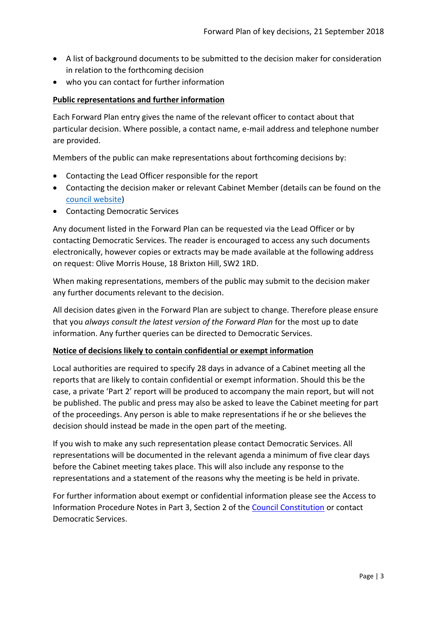- A list of background documents to be submitted to the decision maker for consideration in relation to the forthcoming decision
- who you can contact for further information

## **Public representations and further information**

Each Forward Plan entry gives the name of the relevant officer to contact about that particular decision. Where possible, a contact name, e-mail address and telephone number are provided.

Members of the public can make representations about forthcoming decisions by:

- Contacting the Lead Officer responsible for the report
- Contacting the decision maker or relevant Cabinet Member (details can be found on the [council website\)](http://moderngov.lambeth.gov.uk/mgMemberIndex.aspx?bcr=1)
- Contacting Democratic Services

Any document listed in the Forward Plan can be requested via the Lead Officer or by contacting Democratic Services. The reader is encouraged to access any such documents electronically, however copies or extracts may be made available at the following address on request: Olive Morris House, 18 Brixton Hill, SW2 1RD.

When making representations, members of the public may submit to the decision maker any further documents relevant to the decision.

All decision dates given in the Forward Plan are subject to change. Therefore please ensure that you *always consult the latest version of the Forward Plan* for the most up to date information. Any further queries can be directed to Democratic Services.

#### **Notice of decisions likely to contain confidential or exempt information**

Local authorities are required to specify 28 days in advance of a Cabinet meeting all the reports that are likely to contain confidential or exempt information. Should this be the case, a private 'Part 2' report will be produced to accompany the main report, but will not be published. The public and press may also be asked to leave the Cabinet meeting for part of the proceedings. Any person is able to make representations if he or she believes the decision should instead be made in the open part of the meeting.

If you wish to make any such representation please contact Democratic Services. All representations will be documented in the relevant agenda a minimum of five clear days before the Cabinet meeting takes place. This will also include any response to the representations and a statement of the reasons why the meeting is be held in private.

For further information about exempt or confidential information please see the Access to Information Procedure Notes in Part 3, Section 2 of the [Council Constitution](http://www.lambeth.gov.uk/sites/default/files/ec-Council-Constitution-2014-15-approved-with-changes-November-2014.pdf) or contact Democratic Services.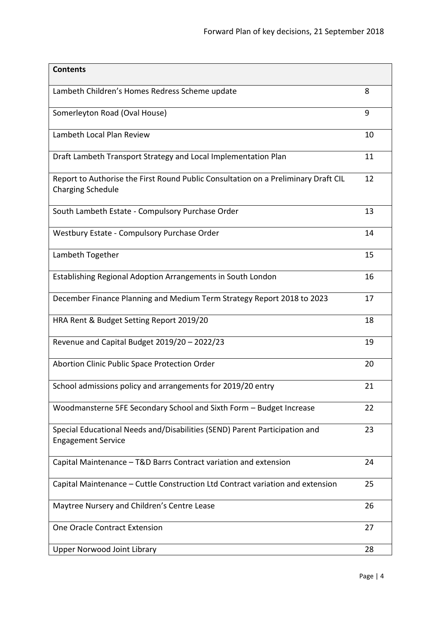| <b>Contents</b>                                                                                                |    |
|----------------------------------------------------------------------------------------------------------------|----|
| Lambeth Children's Homes Redress Scheme update                                                                 | 8  |
| Somerleyton Road (Oval House)                                                                                  | 9  |
| Lambeth Local Plan Review                                                                                      | 10 |
| Draft Lambeth Transport Strategy and Local Implementation Plan                                                 | 11 |
| Report to Authorise the First Round Public Consultation on a Preliminary Draft CIL<br><b>Charging Schedule</b> | 12 |
| South Lambeth Estate - Compulsory Purchase Order                                                               | 13 |
| Westbury Estate - Compulsory Purchase Order                                                                    | 14 |
| Lambeth Together                                                                                               | 15 |
| Establishing Regional Adoption Arrangements in South London                                                    | 16 |
| December Finance Planning and Medium Term Strategy Report 2018 to 2023                                         | 17 |
| HRA Rent & Budget Setting Report 2019/20                                                                       | 18 |
| Revenue and Capital Budget 2019/20 - 2022/23                                                                   | 19 |
| Abortion Clinic Public Space Protection Order                                                                  | 20 |
| School admissions policy and arrangements for 2019/20 entry                                                    | 21 |
| Woodmansterne 5FE Secondary School and Sixth Form - Budget Increase                                            | 22 |
| Special Educational Needs and/Disabilities (SEND) Parent Participation and<br><b>Engagement Service</b>        | 23 |
| Capital Maintenance - T&D Barrs Contract variation and extension                                               | 24 |
| Capital Maintenance - Cuttle Construction Ltd Contract variation and extension                                 | 25 |
| Maytree Nursery and Children's Centre Lease                                                                    | 26 |
| One Oracle Contract Extension                                                                                  | 27 |
| Upper Norwood Joint Library                                                                                    | 28 |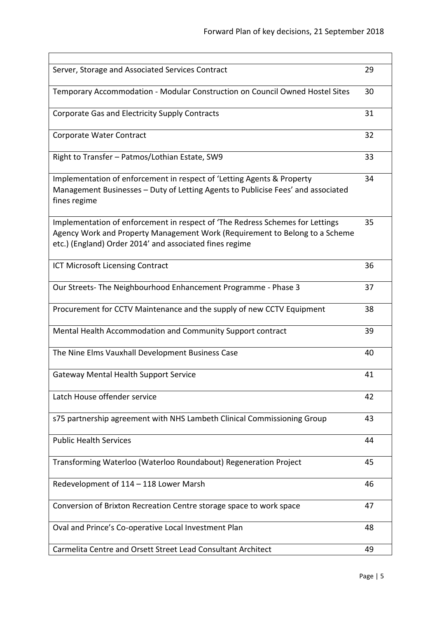| Server, Storage and Associated Services Contract                                                                                                                                                                        | 29 |
|-------------------------------------------------------------------------------------------------------------------------------------------------------------------------------------------------------------------------|----|
| Temporary Accommodation - Modular Construction on Council Owned Hostel Sites                                                                                                                                            | 30 |
| Corporate Gas and Electricity Supply Contracts                                                                                                                                                                          | 31 |
| Corporate Water Contract                                                                                                                                                                                                | 32 |
| Right to Transfer - Patmos/Lothian Estate, SW9                                                                                                                                                                          | 33 |
| Implementation of enforcement in respect of 'Letting Agents & Property<br>Management Businesses - Duty of Letting Agents to Publicise Fees' and associated<br>fines regime                                              | 34 |
| Implementation of enforcement in respect of 'The Redress Schemes for Lettings<br>Agency Work and Property Management Work (Requirement to Belong to a Scheme<br>etc.) (England) Order 2014' and associated fines regime | 35 |
| ICT Microsoft Licensing Contract                                                                                                                                                                                        | 36 |
| Our Streets-The Neighbourhood Enhancement Programme - Phase 3                                                                                                                                                           | 37 |
| Procurement for CCTV Maintenance and the supply of new CCTV Equipment                                                                                                                                                   | 38 |
| Mental Health Accommodation and Community Support contract                                                                                                                                                              | 39 |
| The Nine Elms Vauxhall Development Business Case                                                                                                                                                                        | 40 |
| <b>Gateway Mental Health Support Service</b>                                                                                                                                                                            | 41 |
| Latch House offender service                                                                                                                                                                                            | 42 |
| s75 partnership agreement with NHS Lambeth Clinical Commissioning Group                                                                                                                                                 | 43 |
| <b>Public Health Services</b>                                                                                                                                                                                           | 44 |
| Transforming Waterloo (Waterloo Roundabout) Regeneration Project                                                                                                                                                        | 45 |
| Redevelopment of 114 - 118 Lower Marsh                                                                                                                                                                                  | 46 |
| Conversion of Brixton Recreation Centre storage space to work space                                                                                                                                                     | 47 |
| Oval and Prince's Co-operative Local Investment Plan                                                                                                                                                                    | 48 |
| Carmelita Centre and Orsett Street Lead Consultant Architect                                                                                                                                                            | 49 |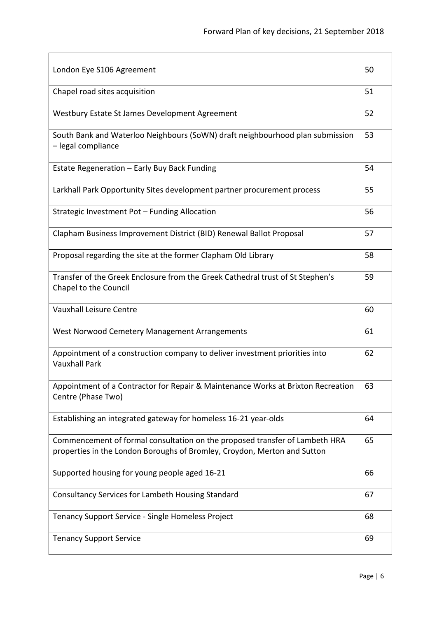| London Eye S106 Agreement                                                                                                                               | 50 |
|---------------------------------------------------------------------------------------------------------------------------------------------------------|----|
| Chapel road sites acquisition                                                                                                                           | 51 |
| Westbury Estate St James Development Agreement                                                                                                          | 52 |
| South Bank and Waterloo Neighbours (SoWN) draft neighbourhood plan submission<br>- legal compliance                                                     | 53 |
| Estate Regeneration - Early Buy Back Funding                                                                                                            | 54 |
| Larkhall Park Opportunity Sites development partner procurement process                                                                                 | 55 |
| Strategic Investment Pot - Funding Allocation                                                                                                           | 56 |
| Clapham Business Improvement District (BID) Renewal Ballot Proposal                                                                                     | 57 |
| Proposal regarding the site at the former Clapham Old Library                                                                                           | 58 |
| Transfer of the Greek Enclosure from the Greek Cathedral trust of St Stephen's<br>Chapel to the Council                                                 | 59 |
| <b>Vauxhall Leisure Centre</b>                                                                                                                          | 60 |
| West Norwood Cemetery Management Arrangements                                                                                                           | 61 |
| Appointment of a construction company to deliver investment priorities into<br><b>Vauxhall Park</b>                                                     | 62 |
| Appointment of a Contractor for Repair & Maintenance Works at Brixton Recreation                                                                        |    |
| Centre (Phase Two)                                                                                                                                      | 63 |
| Establishing an integrated gateway for homeless 16-21 year-olds                                                                                         | 64 |
| Commencement of formal consultation on the proposed transfer of Lambeth HRA<br>properties in the London Boroughs of Bromley, Croydon, Merton and Sutton | 65 |
| Supported housing for young people aged 16-21                                                                                                           | 66 |
| Consultancy Services for Lambeth Housing Standard                                                                                                       | 67 |
| Tenancy Support Service - Single Homeless Project                                                                                                       | 68 |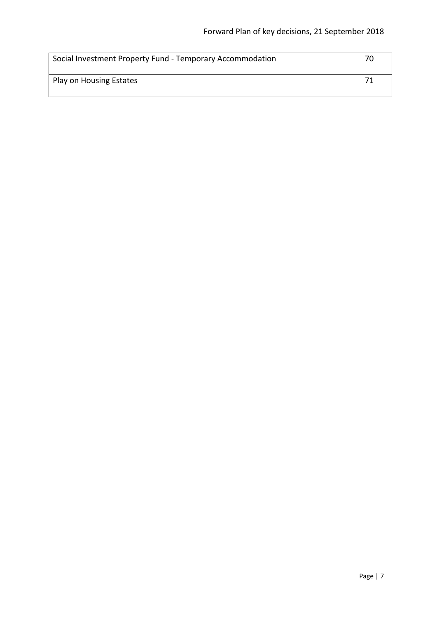| Social Investment Property Fund - Temporary Accommodation | 70 |
|-----------------------------------------------------------|----|
|                                                           |    |
| <b>Play on Housing Estates</b>                            |    |
|                                                           |    |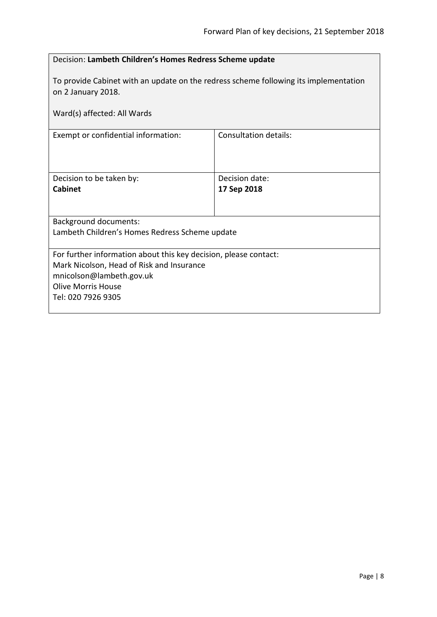<span id="page-7-0"></span>

| Decision: Lambeth Children's Homes Redress Scheme update                                                                                                                                     |                               |  |
|----------------------------------------------------------------------------------------------------------------------------------------------------------------------------------------------|-------------------------------|--|
| To provide Cabinet with an update on the redress scheme following its implementation<br>on 2 January 2018.                                                                                   |                               |  |
| Ward(s) affected: All Wards                                                                                                                                                                  |                               |  |
| Exempt or confidential information:                                                                                                                                                          | Consultation details:         |  |
| Decision to be taken by:<br><b>Cabinet</b>                                                                                                                                                   | Decision date:<br>17 Sep 2018 |  |
| <b>Background documents:</b><br>Lambeth Children's Homes Redress Scheme update                                                                                                               |                               |  |
| For further information about this key decision, please contact:<br>Mark Nicolson, Head of Risk and Insurance<br>mnicolson@lambeth.gov.uk<br><b>Olive Morris House</b><br>Tel: 020 7926 9305 |                               |  |

 $\overline{1}$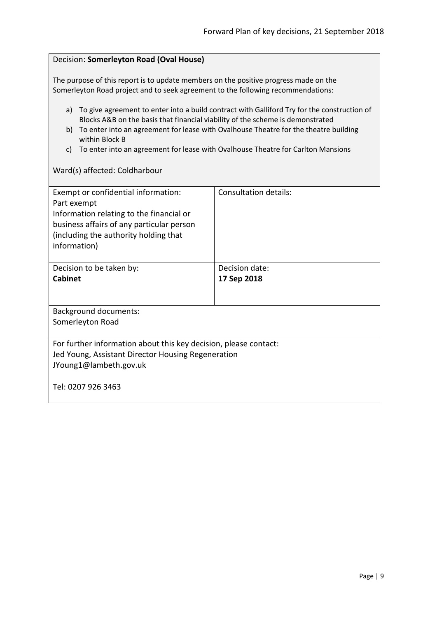<span id="page-8-0"></span>

| Decision: Somerleyton Road (Oval House)                                                                                                                                                                                                                                                                                                                                                 |                               |  |
|-----------------------------------------------------------------------------------------------------------------------------------------------------------------------------------------------------------------------------------------------------------------------------------------------------------------------------------------------------------------------------------------|-------------------------------|--|
| The purpose of this report is to update members on the positive progress made on the<br>Somerleyton Road project and to seek agreement to the following recommendations:                                                                                                                                                                                                                |                               |  |
| a) To give agreement to enter into a build contract with Galliford Try for the construction of<br>Blocks A&B on the basis that financial viability of the scheme is demonstrated<br>b) To enter into an agreement for lease with Ovalhouse Theatre for the theatre building<br>within Block B<br>To enter into an agreement for lease with Ovalhouse Theatre for Carlton Mansions<br>C) |                               |  |
| Ward(s) affected: Coldharbour                                                                                                                                                                                                                                                                                                                                                           |                               |  |
| Exempt or confidential information:<br>Part exempt<br>Information relating to the financial or<br>business affairs of any particular person<br>(including the authority holding that<br>information)                                                                                                                                                                                    | <b>Consultation details:</b>  |  |
| Decision to be taken by:<br><b>Cabinet</b>                                                                                                                                                                                                                                                                                                                                              | Decision date:<br>17 Sep 2018 |  |
| <b>Background documents:</b><br>Somerleyton Road                                                                                                                                                                                                                                                                                                                                        |                               |  |
| For further information about this key decision, please contact:<br>Jed Young, Assistant Director Housing Regeneration<br>JYoung1@lambeth.gov.uk                                                                                                                                                                                                                                        |                               |  |
| Tel: 0207 926 3463                                                                                                                                                                                                                                                                                                                                                                      |                               |  |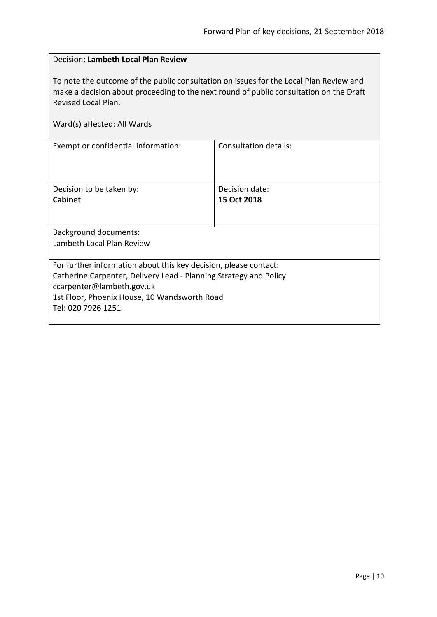# <span id="page-9-0"></span>Decision: **Lambeth Local Plan Review**

To note the outcome of the public consultation on issues for the Local Plan Review and make a decision about proceeding to the next round of public consultation on the Draft Revised Local Plan.

|  | Ward(s) affected: All Wards |  |
|--|-----------------------------|--|
|--|-----------------------------|--|

| Exempt or confidential information:                               | Consultation details: |  |
|-------------------------------------------------------------------|-----------------------|--|
| Decision to be taken by:                                          | Decision date:        |  |
| <b>Cabinet</b>                                                    | 15 Oct 2018           |  |
|                                                                   |                       |  |
| <b>Background documents:</b>                                      |                       |  |
| Lambeth Local Plan Review                                         |                       |  |
| For further information about this key decision, please contact:  |                       |  |
| Catherine Carpenter, Delivery Lead - Planning Strategy and Policy |                       |  |
| ccarpenter@lambeth.gov.uk                                         |                       |  |
| 1st Floor, Phoenix House, 10 Wandsworth Road                      |                       |  |
| Tel: 020 7926 1251                                                |                       |  |
|                                                                   |                       |  |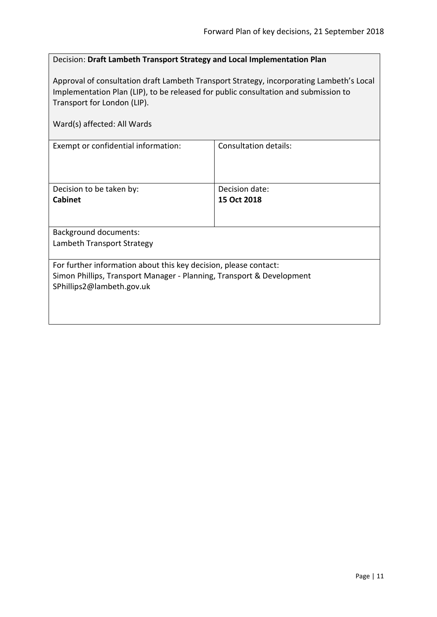# <span id="page-10-0"></span>Decision: **Draft Lambeth Transport Strategy and Local Implementation Plan**

Approval of consultation draft Lambeth Transport Strategy, incorporating Lambeth's Local Implementation Plan (LIP), to be released for public consultation and submission to Transport for London (LIP).

| Ward(s) affected: All Wards                                           |                       |  |
|-----------------------------------------------------------------------|-----------------------|--|
| Exempt or confidential information:                                   | Consultation details: |  |
|                                                                       |                       |  |
| Decision to be taken by:                                              | Decision date:        |  |
| <b>Cabinet</b>                                                        | 15 Oct 2018           |  |
|                                                                       |                       |  |
| <b>Background documents:</b>                                          |                       |  |
| Lambeth Transport Strategy                                            |                       |  |
|                                                                       |                       |  |
| For further information about this key decision, please contact:      |                       |  |
| Simon Phillips, Transport Manager - Planning, Transport & Development |                       |  |
| SPhillips2@lambeth.gov.uk                                             |                       |  |
|                                                                       |                       |  |
|                                                                       |                       |  |
|                                                                       |                       |  |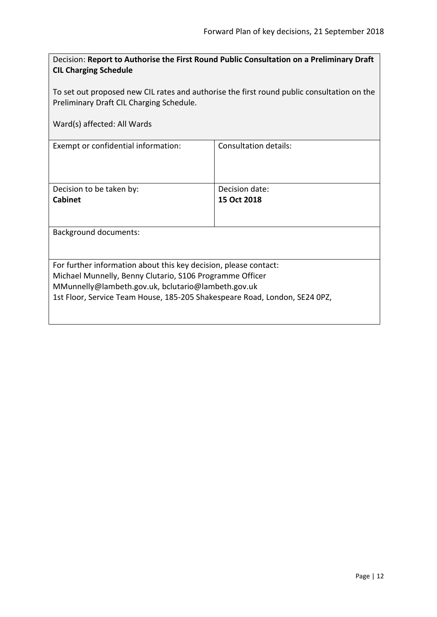<span id="page-11-0"></span>

| Decision: Report to Authorise the First Round Public Consultation on a Preliminary Draft |
|------------------------------------------------------------------------------------------|
| <b>CIL Charging Schedule</b>                                                             |

To set out proposed new CIL rates and authorise the first round public consultation on the Preliminary Draft CIL Charging Schedule.

|  |  | Ward(s) affected: All Wards |
|--|--|-----------------------------|
|--|--|-----------------------------|

 $\overline{\phantom{a}}$ 

| Exempt or confidential information:                                                                                                                                                                                                                              | Consultation details: |  |
|------------------------------------------------------------------------------------------------------------------------------------------------------------------------------------------------------------------------------------------------------------------|-----------------------|--|
| Decision to be taken by:                                                                                                                                                                                                                                         | Decision date:        |  |
| Cabinet                                                                                                                                                                                                                                                          | 15 Oct 2018           |  |
| Background documents:                                                                                                                                                                                                                                            |                       |  |
|                                                                                                                                                                                                                                                                  |                       |  |
| For further information about this key decision, please contact:<br>Michael Munnelly, Benny Clutario, S106 Programme Officer<br>MMunnelly@lambeth.gov.uk, bclutario@lambeth.gov.uk<br>1st Floor, Service Team House, 185-205 Shakespeare Road, London, SE24 0PZ, |                       |  |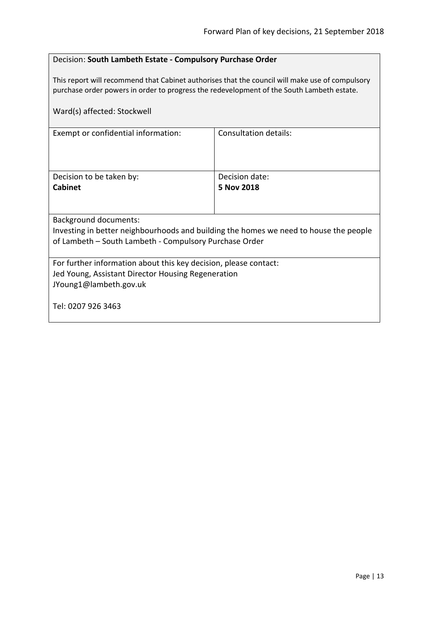# <span id="page-12-0"></span>Decision: **South Lambeth Estate - Compulsory Purchase Order**

This report will recommend that Cabinet authorises that the council will make use of compulsory purchase order powers in order to progress the redevelopment of the South Lambeth estate.

| Ward(s) affected: Stockwell                                                           |                       |
|---------------------------------------------------------------------------------------|-----------------------|
| Exempt or confidential information:                                                   | Consultation details: |
| Decision to be taken by:                                                              | Decision date:        |
| <b>Cabinet</b>                                                                        | 5 Nov 2018            |
|                                                                                       |                       |
| <b>Background documents:</b>                                                          |                       |
| Investing in better neighbourhoods and building the homes we need to house the people |                       |
| of Lambeth – South Lambeth - Compulsory Purchase Order                                |                       |
|                                                                                       |                       |
| For further information about this key decision, please contact:                      |                       |
| Jed Young, Assistant Director Housing Regeneration                                    |                       |
| JYoung1@lambeth.gov.uk                                                                |                       |
| Tel: 0207 926 3463                                                                    |                       |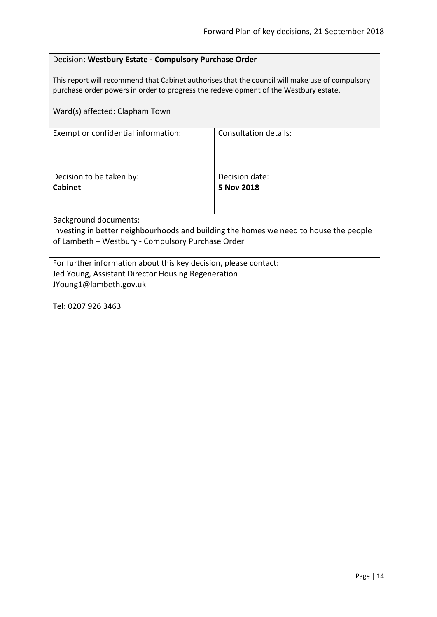# <span id="page-13-0"></span>Decision: **Westbury Estate - Compulsory Purchase Order**

This report will recommend that Cabinet authorises that the council will make use of compulsory purchase order powers in order to progress the redevelopment of the Westbury estate.

| Ward(s) affected: Clapham Town                                                        |                              |  |
|---------------------------------------------------------------------------------------|------------------------------|--|
| Exempt or confidential information:                                                   | <b>Consultation details:</b> |  |
| Decision to be taken by:                                                              | Decision date:               |  |
| <b>Cabinet</b>                                                                        | 5 Nov 2018                   |  |
|                                                                                       |                              |  |
| Background documents:                                                                 |                              |  |
| Investing in better neighbourhoods and building the homes we need to house the people |                              |  |
| of Lambeth - Westbury - Compulsory Purchase Order                                     |                              |  |
| For further information about this key decision, please contact:                      |                              |  |
| Jed Young, Assistant Director Housing Regeneration                                    |                              |  |
| JYoung1@lambeth.gov.uk                                                                |                              |  |
| Tel: 0207 926 3463                                                                    |                              |  |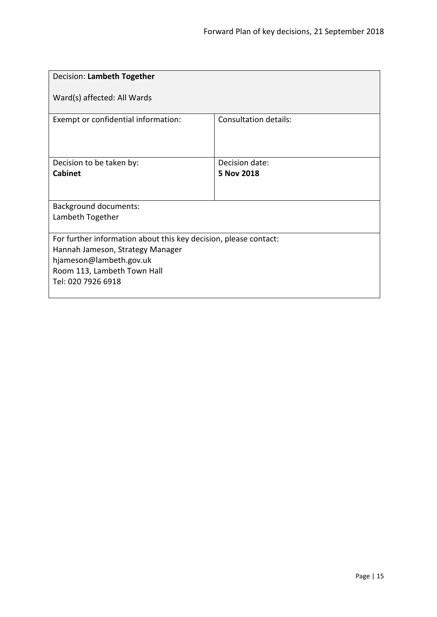<span id="page-14-0"></span>

| Decision: Lambeth Together                                                                                                                                                           |                              |  |
|--------------------------------------------------------------------------------------------------------------------------------------------------------------------------------------|------------------------------|--|
| Ward(s) affected: All Wards                                                                                                                                                          |                              |  |
| Exempt or confidential information:                                                                                                                                                  | Consultation details:        |  |
| Decision to be taken by:<br><b>Cabinet</b>                                                                                                                                           | Decision date:<br>5 Nov 2018 |  |
| <b>Background documents:</b><br>Lambeth Together                                                                                                                                     |                              |  |
| For further information about this key decision, please contact:<br>Hannah Jameson, Strategy Manager<br>hjameson@lambeth.gov.uk<br>Room 113, Lambeth Town Hall<br>Tel: 020 7926 6918 |                              |  |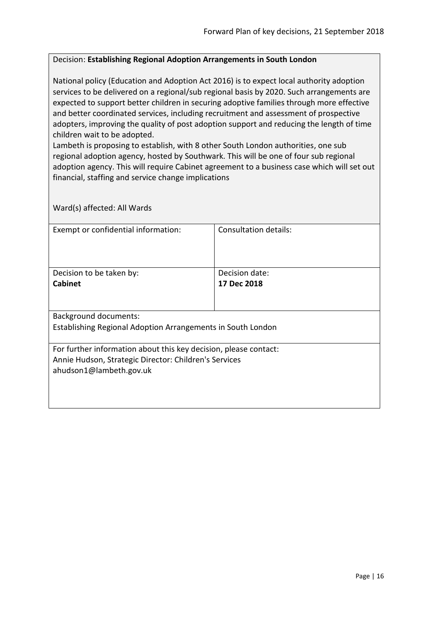## <span id="page-15-0"></span>Decision: **Establishing Regional Adoption Arrangements in South London**

National policy (Education and Adoption Act 2016) is to expect local authority adoption services to be delivered on a regional/sub regional basis by 2020. Such arrangements are expected to support better children in securing adoptive families through more effective and better coordinated services, including recruitment and assessment of prospective adopters, improving the quality of post adoption support and reducing the length of time children wait to be adopted.

Lambeth is proposing to establish, with 8 other South London authorities, one sub regional adoption agency, hosted by Southwark. This will be one of four sub regional adoption agency. This will require Cabinet agreement to a business case which will set out financial, staffing and service change implications

| Exempt or confidential information:                              | Consultation details: |  |
|------------------------------------------------------------------|-----------------------|--|
| Decision to be taken by:                                         | Decision date:        |  |
| <b>Cabinet</b>                                                   | 17 Dec 2018           |  |
|                                                                  |                       |  |
| <b>Background documents:</b>                                     |                       |  |
| Establishing Regional Adoption Arrangements in South London      |                       |  |
| For further information about this key decision, please contact: |                       |  |
| Annie Hudson, Strategic Director: Children's Services            |                       |  |
| ahudson1@lambeth.gov.uk                                          |                       |  |
|                                                                  |                       |  |
|                                                                  |                       |  |
|                                                                  |                       |  |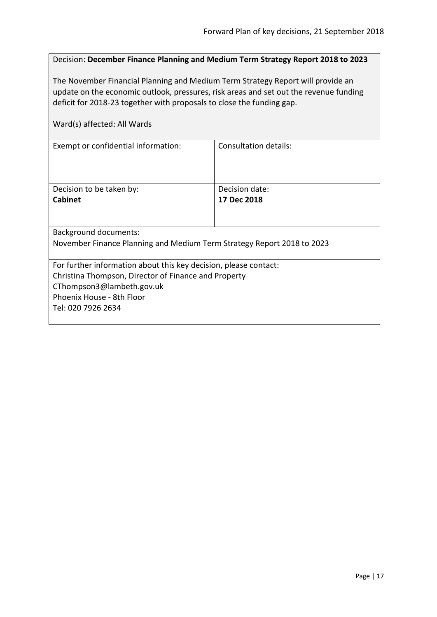<span id="page-16-0"></span>

|                                                                                                                                                                                                                                                                                  | Decision: December Finance Planning and Medium Term Strategy Report 2018 to 2023 |  |
|----------------------------------------------------------------------------------------------------------------------------------------------------------------------------------------------------------------------------------------------------------------------------------|----------------------------------------------------------------------------------|--|
| The November Financial Planning and Medium Term Strategy Report will provide an<br>update on the economic outlook, pressures, risk areas and set out the revenue funding<br>deficit for 2018-23 together with proposals to close the funding gap.<br>Ward(s) affected: All Wards |                                                                                  |  |
| Exempt or confidential information:                                                                                                                                                                                                                                              | <b>Consultation details:</b>                                                     |  |
| Decision to be taken by:<br><b>Cabinet</b>                                                                                                                                                                                                                                       | Decision date:<br>17 Dec 2018                                                    |  |
| <b>Background documents:</b>                                                                                                                                                                                                                                                     |                                                                                  |  |
| November Finance Planning and Medium Term Strategy Report 2018 to 2023                                                                                                                                                                                                           |                                                                                  |  |
| For further information about this key decision, please contact:<br>Christina Thompson, Director of Finance and Property<br>CThompson3@lambeth.gov.uk<br>Phoenix House - 8th Floor<br>Tel: 020 7926 2634                                                                         |                                                                                  |  |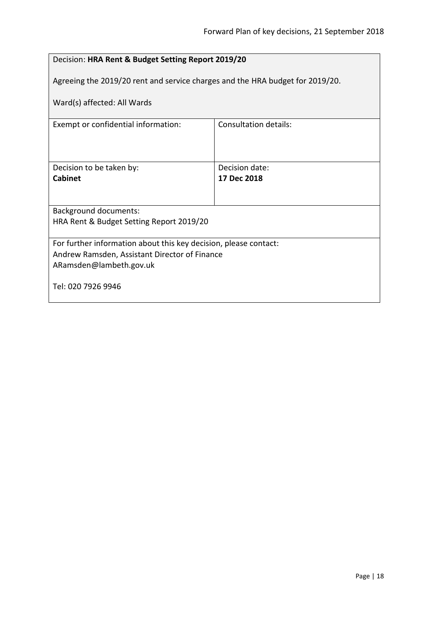<span id="page-17-0"></span>

| Decision: HRA Rent & Budget Setting Report 2019/20                            |             |  |
|-------------------------------------------------------------------------------|-------------|--|
| Agreeing the 2019/20 rent and service charges and the HRA budget for 2019/20. |             |  |
| Ward(s) affected: All Wards                                                   |             |  |
| Consultation details:<br>Exempt or confidential information:                  |             |  |
|                                                                               |             |  |
| Decision date:<br>Decision to be taken by:                                    |             |  |
| Cabinet                                                                       | 17 Dec 2018 |  |
|                                                                               |             |  |
| <b>Background documents:</b>                                                  |             |  |
| HRA Rent & Budget Setting Report 2019/20                                      |             |  |
| For further information about this key decision, please contact:              |             |  |
| Andrew Ramsden, Assistant Director of Finance                                 |             |  |
| ARamsden@lambeth.gov.uk                                                       |             |  |
| Tel: 020 7926 9946                                                            |             |  |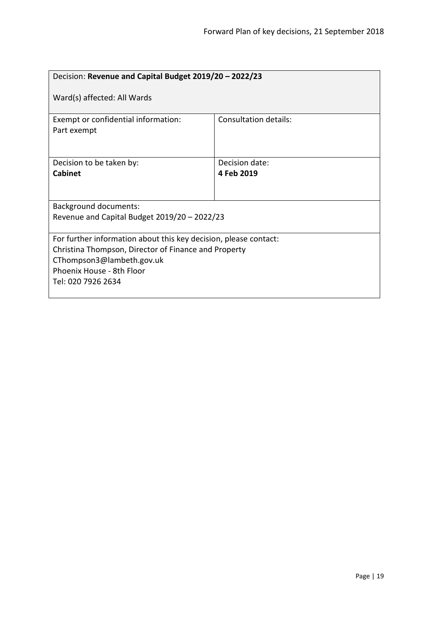<span id="page-18-0"></span>

| Decision: Revenue and Capital Budget 2019/20 - 2022/23                                                                                                                                                   |                              |  |
|----------------------------------------------------------------------------------------------------------------------------------------------------------------------------------------------------------|------------------------------|--|
| Ward(s) affected: All Wards                                                                                                                                                                              |                              |  |
| Exempt or confidential information:<br>Part exempt                                                                                                                                                       | <b>Consultation details:</b> |  |
| Decision to be taken by:<br><b>Cabinet</b>                                                                                                                                                               | Decision date:<br>4 Feb 2019 |  |
| <b>Background documents:</b><br>Revenue and Capital Budget 2019/20 - 2022/23                                                                                                                             |                              |  |
| For further information about this key decision, please contact:<br>Christina Thompson, Director of Finance and Property<br>CThompson3@lambeth.gov.uk<br>Phoenix House - 8th Floor<br>Tel: 020 7926 2634 |                              |  |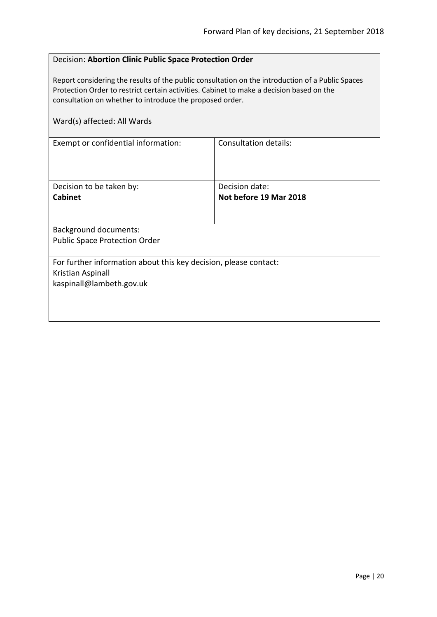# <span id="page-19-0"></span>Decision: **Abortion Clinic Public Space Protection Order**

Report considering the results of the public consultation on the introduction of a Public Spaces Protection Order to restrict certain activities. Cabinet to make a decision based on the consultation on whether to introduce the proposed order.

| Ward(s) affected: All Wards                                      |                              |
|------------------------------------------------------------------|------------------------------|
| Exempt or confidential information:                              | <b>Consultation details:</b> |
| Decision to be taken by:                                         | Decision date:               |
| <b>Cabinet</b>                                                   | Not before 19 Mar 2018       |
| <b>Background documents:</b>                                     |                              |
| <b>Public Space Protection Order</b>                             |                              |
| For further information about this key decision, please contact: |                              |
| Kristian Aspinall                                                |                              |
| kaspinall@lambeth.gov.uk                                         |                              |
|                                                                  |                              |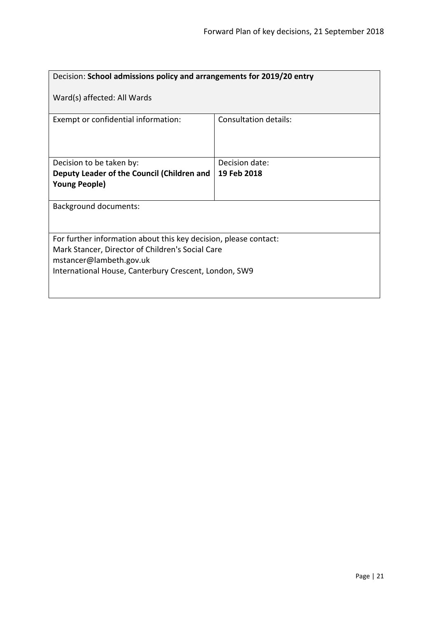<span id="page-20-0"></span>

| Decision: School admissions policy and arrangements for 2019/20 entry                                                |                       |  |
|----------------------------------------------------------------------------------------------------------------------|-----------------------|--|
| Ward(s) affected: All Wards                                                                                          |                       |  |
| Exempt or confidential information:                                                                                  | Consultation details: |  |
| Decision to be taken by:                                                                                             | Decision date:        |  |
| Deputy Leader of the Council (Children and                                                                           | 19 Feb 2018           |  |
| <b>Young People)</b>                                                                                                 |                       |  |
| <b>Background documents:</b>                                                                                         |                       |  |
| For further information about this key decision, please contact:<br>Mark Stancer, Director of Children's Social Care |                       |  |
| mstancer@lambeth.gov.uk                                                                                              |                       |  |
| International House, Canterbury Crescent, London, SW9                                                                |                       |  |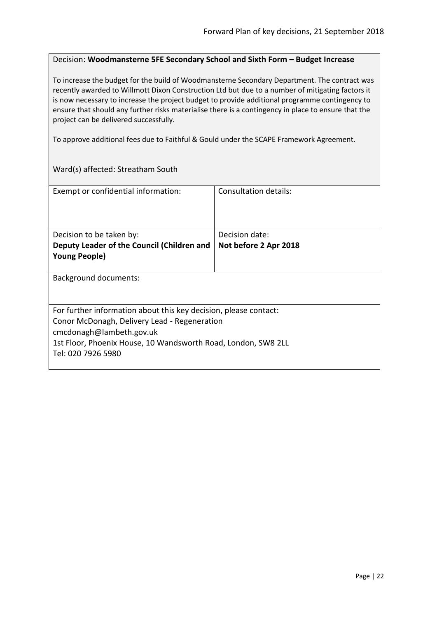#### <span id="page-21-0"></span>Decision: **Woodmansterne 5FE Secondary School and Sixth Form – Budget Increase**

To increase the budget for the build of Woodmansterne Secondary Department. The contract was recently awarded to Willmott Dixon Construction Ltd but due to a number of mitigating factors it is now necessary to increase the project budget to provide additional programme contingency to ensure that should any further risks materialise there is a contingency in place to ensure that the project can be delivered successfully.

To approve additional fees due to Faithful & Gould under the SCAPE Framework Agreement.

Ward(s) affected: Streatham South

| Exempt or confidential information:                                                                                                                                                                                                 | Consultation details: |
|-------------------------------------------------------------------------------------------------------------------------------------------------------------------------------------------------------------------------------------|-----------------------|
| Decision to be taken by:                                                                                                                                                                                                            | Decision date:        |
| Deputy Leader of the Council (Children and                                                                                                                                                                                          | Not before 2 Apr 2018 |
| <b>Young People)</b>                                                                                                                                                                                                                |                       |
| Background documents:                                                                                                                                                                                                               |                       |
| For further information about this key decision, please contact:<br>Conor McDonagh, Delivery Lead - Regeneration<br>cmcdonagh@lambeth.gov.uk<br>1st Floor, Phoenix House, 10 Wandsworth Road, London, SW8 2LL<br>Tel: 020 7926 5980 |                       |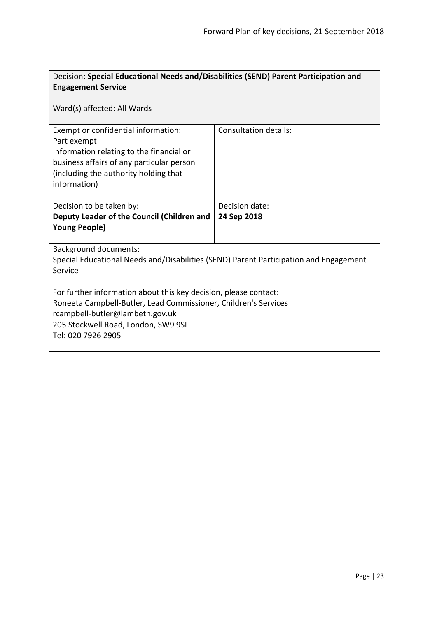<span id="page-22-0"></span>

| Decision: Special Educational Needs and/Disabilities (SEND) Parent Participation and<br><b>Engagement Service</b>                                                                                                                   |                               |  |
|-------------------------------------------------------------------------------------------------------------------------------------------------------------------------------------------------------------------------------------|-------------------------------|--|
| Ward(s) affected: All Wards                                                                                                                                                                                                         |                               |  |
| Exempt or confidential information:<br>Part exempt<br>Information relating to the financial or<br>business affairs of any particular person<br>(including the authority holding that<br>information)                                | <b>Consultation details:</b>  |  |
| Decision to be taken by:<br>Deputy Leader of the Council (Children and<br><b>Young People)</b>                                                                                                                                      | Decision date:<br>24 Sep 2018 |  |
| <b>Background documents:</b><br>Special Educational Needs and/Disabilities (SEND) Parent Participation and Engagement<br>Service                                                                                                    |                               |  |
| For further information about this key decision, please contact:<br>Roneeta Campbell-Butler, Lead Commissioner, Children's Services<br>rcampbell-butler@lambeth.gov.uk<br>205 Stockwell Road, London, SW9 9SL<br>Tel: 020 7926 2905 |                               |  |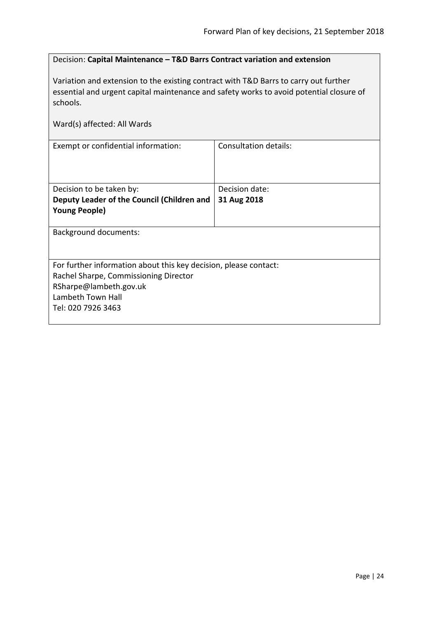# <span id="page-23-0"></span>Decision: **Capital Maintenance – T&D Barrs Contract variation and extension**

Variation and extension to the existing contract with T&D Barrs to carry out further essential and urgent capital maintenance and safety works to avoid potential closure of schools.

| Ward(s) affected: All Wards                                      |                       |  |
|------------------------------------------------------------------|-----------------------|--|
| Exempt or confidential information:                              | Consultation details: |  |
|                                                                  |                       |  |
| Decision to be taken by:                                         | Decision date:        |  |
| Deputy Leader of the Council (Children and                       | 31 Aug 2018           |  |
| <b>Young People)</b>                                             |                       |  |
|                                                                  |                       |  |
| <b>Background documents:</b>                                     |                       |  |
|                                                                  |                       |  |
|                                                                  |                       |  |
| For further information about this key decision, please contact: |                       |  |
| Rachel Sharpe, Commissioning Director                            |                       |  |
| RSharpe@lambeth.gov.uk                                           |                       |  |
| Lambeth Town Hall                                                |                       |  |
| Tel: 020 7926 3463                                               |                       |  |
|                                                                  |                       |  |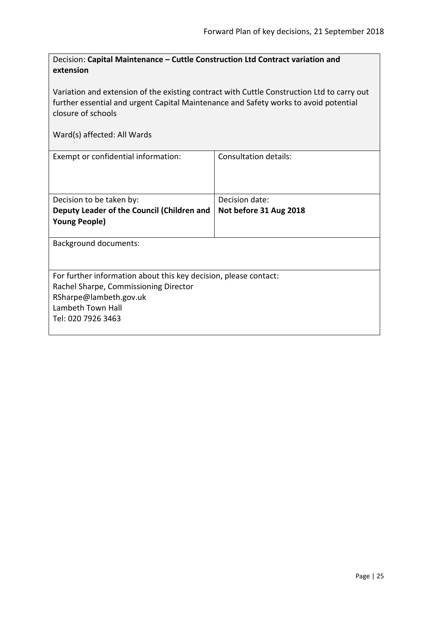<span id="page-24-0"></span>

| Decision: Capital Maintenance – Cuttle Construction Ltd Contract variation and |  |
|--------------------------------------------------------------------------------|--|
| extension                                                                      |  |

Variation and extension of the existing contract with Cuttle Construction Ltd to carry out further essential and urgent Capital Maintenance and Safety works to avoid potential closure of schools

| Exempt or confidential information:                              | <b>Consultation details:</b> |  |
|------------------------------------------------------------------|------------------------------|--|
|                                                                  |                              |  |
| Decision to be taken by:                                         | Decision date:               |  |
| Deputy Leader of the Council (Children and                       | Not before 31 Aug 2018       |  |
| <b>Young People)</b>                                             |                              |  |
|                                                                  |                              |  |
| Background documents:                                            |                              |  |
|                                                                  |                              |  |
|                                                                  |                              |  |
| For further information about this key decision, please contact: |                              |  |
| Rachel Sharpe, Commissioning Director                            |                              |  |
| RSharpe@lambeth.gov.uk                                           |                              |  |
| Lambeth Town Hall                                                |                              |  |
| Tel: 020 7926 3463                                               |                              |  |
|                                                                  |                              |  |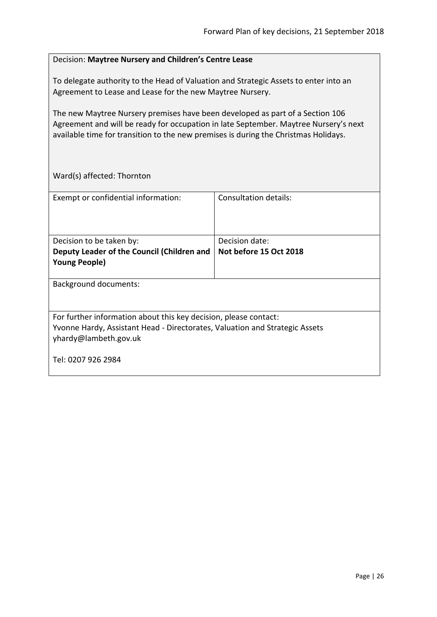# Decision: **Maytree Nursery and Children's Centre Lease**

<span id="page-25-0"></span>To delegate authority to the Head of Valuation and Strategic Assets to enter into an Agreement to Lease and Lease for the new Maytree Nursery.

The new Maytree Nursery premises have been developed as part of a Section 106 Agreement and will be ready for occupation in late September. Maytree Nursery's next available time for transition to the new premises is during the Christmas Holidays.

Ward(s) affected: Thornton

| Exempt or confidential information:                                                                                                                                      | Consultation details:  |
|--------------------------------------------------------------------------------------------------------------------------------------------------------------------------|------------------------|
| Decision to be taken by:                                                                                                                                                 | Decision date:         |
| Deputy Leader of the Council (Children and                                                                                                                               | Not before 15 Oct 2018 |
| <b>Young People)</b>                                                                                                                                                     |                        |
|                                                                                                                                                                          |                        |
| <b>Background documents:</b>                                                                                                                                             |                        |
| For further information about this key decision, please contact:<br>Yvonne Hardy, Assistant Head - Directorates, Valuation and Strategic Assets<br>yhardy@lambeth.gov.uk |                        |
| Tel: 0207 926 2984                                                                                                                                                       |                        |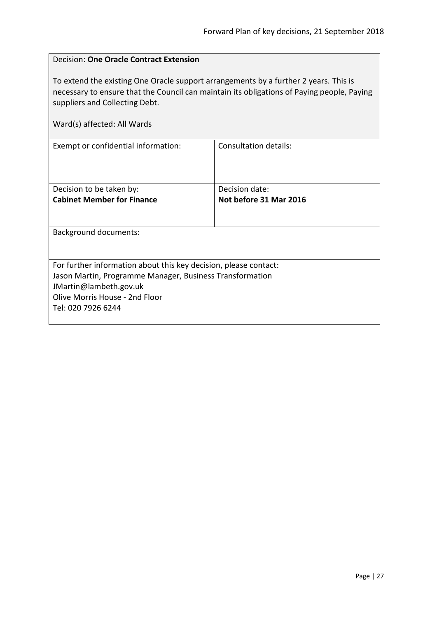<span id="page-26-0"></span>

| <b>Decision: One Oracle Contract Extension</b>                                                                                                                                                                                                      |                        |  |
|-----------------------------------------------------------------------------------------------------------------------------------------------------------------------------------------------------------------------------------------------------|------------------------|--|
| To extend the existing One Oracle support arrangements by a further 2 years. This is<br>necessary to ensure that the Council can maintain its obligations of Paying people, Paying<br>suppliers and Collecting Debt.<br>Ward(s) affected: All Wards |                        |  |
| Consultation details:<br>Exempt or confidential information:                                                                                                                                                                                        |                        |  |
|                                                                                                                                                                                                                                                     |                        |  |
| Decision to be taken by:                                                                                                                                                                                                                            | Decision date:         |  |
| <b>Cabinet Member for Finance</b>                                                                                                                                                                                                                   | Not before 31 Mar 2016 |  |
| <b>Background documents:</b>                                                                                                                                                                                                                        |                        |  |
| For further information about this key decision, please contact:                                                                                                                                                                                    |                        |  |
| Jason Martin, Programme Manager, Business Transformation                                                                                                                                                                                            |                        |  |
| JMartin@lambeth.gov.uk<br>Olive Morris House - 2nd Floor                                                                                                                                                                                            |                        |  |
| Tel: 020 7926 6244                                                                                                                                                                                                                                  |                        |  |
|                                                                                                                                                                                                                                                     |                        |  |

 $\overline{1}$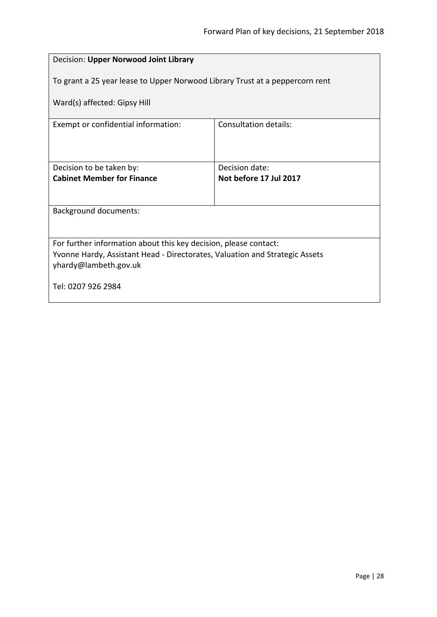<span id="page-27-0"></span>

| Decision: Upper Norwood Joint Library                                                                |                        |  |
|------------------------------------------------------------------------------------------------------|------------------------|--|
| To grant a 25 year lease to Upper Norwood Library Trust at a peppercorn rent                         |                        |  |
| Ward(s) affected: Gipsy Hill                                                                         |                        |  |
| Consultation details:<br>Exempt or confidential information:                                         |                        |  |
|                                                                                                      |                        |  |
| Decision to be taken by:                                                                             | Decision date:         |  |
| <b>Cabinet Member for Finance</b>                                                                    | Not before 17 Jul 2017 |  |
|                                                                                                      |                        |  |
| <b>Background documents:</b>                                                                         |                        |  |
|                                                                                                      |                        |  |
| For further information about this key decision, please contact:                                     |                        |  |
| Yvonne Hardy, Assistant Head - Directorates, Valuation and Strategic Assets<br>yhardy@lambeth.gov.uk |                        |  |
|                                                                                                      |                        |  |
| Tel: 0207 926 2984                                                                                   |                        |  |
|                                                                                                      |                        |  |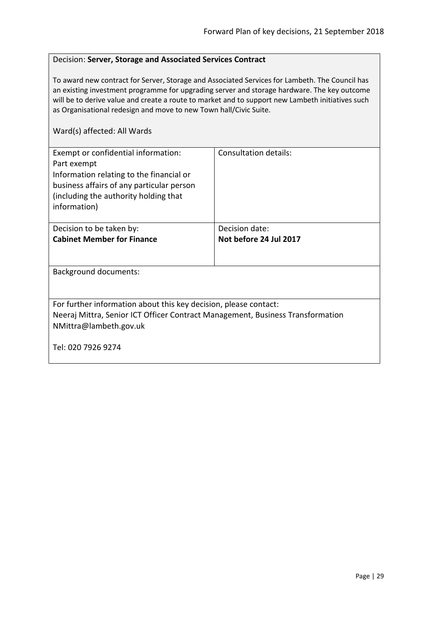#### <span id="page-28-0"></span>Decision: **Server, Storage and Associated Services Contract**

To award new contract for Server, Storage and Associated Services for Lambeth. The Council has an existing investment programme for upgrading server and storage hardware. The key outcome will be to derive value and create a route to market and to support new Lambeth initiatives such as Organisational redesign and move to new Town hall/Civic Suite.

| Exempt or confidential information:<br>Part exempt<br>Information relating to the financial or<br>business affairs of any particular person<br>(including the authority holding that<br>information) | <b>Consultation details:</b> |
|------------------------------------------------------------------------------------------------------------------------------------------------------------------------------------------------------|------------------------------|
| Decision to be taken by:                                                                                                                                                                             | Decision date:               |
| <b>Cabinet Member for Finance</b>                                                                                                                                                                    | Not before 24 Jul 2017       |
|                                                                                                                                                                                                      |                              |
| <b>Background documents:</b>                                                                                                                                                                         |                              |
| For further information about this key decision, please contact:<br>Neeraj Mittra, Senior ICT Officer Contract Management, Business Transformation<br>NMittra@lambeth.gov.uk                         |                              |
| Tel: 020 7926 9274                                                                                                                                                                                   |                              |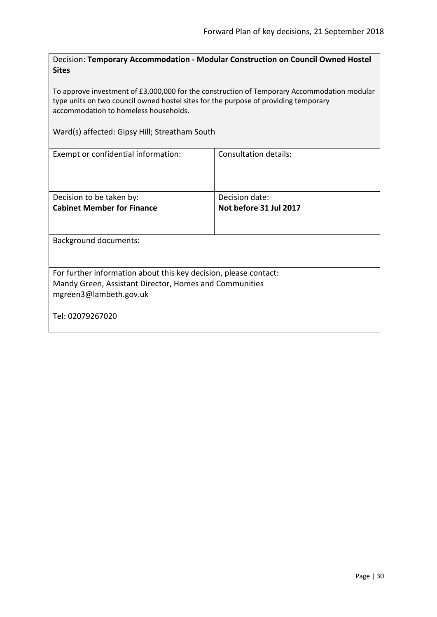<span id="page-29-0"></span>Decision: **Temporary Accommodation - Modular Construction on Council Owned Hostel Sites**

To approve investment of £3,000,000 for the construction of Temporary Accommodation modular type units on two council owned hostel sites for the purpose of providing temporary accommodation to homeless households.

Ward(s) affected: Gipsy Hill; Streatham South

| Exempt or confidential information:                                                                                                                  | Consultation details:  |
|------------------------------------------------------------------------------------------------------------------------------------------------------|------------------------|
| Decision to be taken by:                                                                                                                             | Decision date:         |
| <b>Cabinet Member for Finance</b>                                                                                                                    | Not before 31 Jul 2017 |
| <b>Background documents:</b>                                                                                                                         |                        |
|                                                                                                                                                      |                        |
| For further information about this key decision, please contact:<br>Mandy Green, Assistant Director, Homes and Communities<br>mgreen3@lambeth.gov.uk |                        |
| Tel: 02079267020                                                                                                                                     |                        |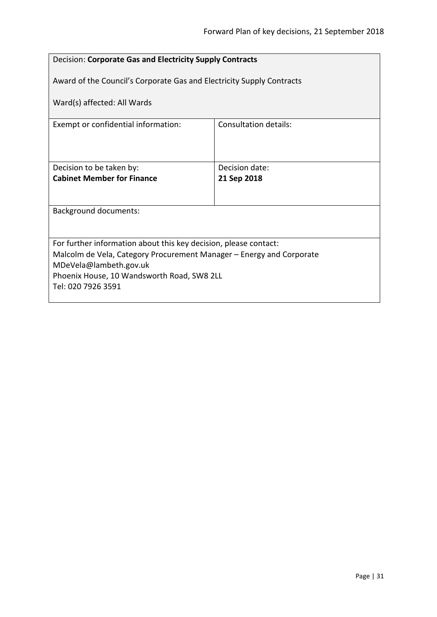<span id="page-30-0"></span>

| Decision: Corporate Gas and Electricity Supply Contracts             |                                                                       |  |  |
|----------------------------------------------------------------------|-----------------------------------------------------------------------|--|--|
|                                                                      | Award of the Council's Corporate Gas and Electricity Supply Contracts |  |  |
| Ward(s) affected: All Wards                                          |                                                                       |  |  |
| Exempt or confidential information:<br><b>Consultation details:</b>  |                                                                       |  |  |
|                                                                      |                                                                       |  |  |
| Decision to be taken by:                                             | Decision date:                                                        |  |  |
| <b>Cabinet Member for Finance</b>                                    | 21 Sep 2018                                                           |  |  |
|                                                                      |                                                                       |  |  |
| <b>Background documents:</b>                                         |                                                                       |  |  |
|                                                                      |                                                                       |  |  |
| For further information about this key decision, please contact:     |                                                                       |  |  |
| Malcolm de Vela, Category Procurement Manager – Energy and Corporate |                                                                       |  |  |
| MDeVela@lambeth.gov.uk<br>Phoenix House, 10 Wandsworth Road, SW8 2LL |                                                                       |  |  |
| Tel: 020 7926 3591                                                   |                                                                       |  |  |
|                                                                      |                                                                       |  |  |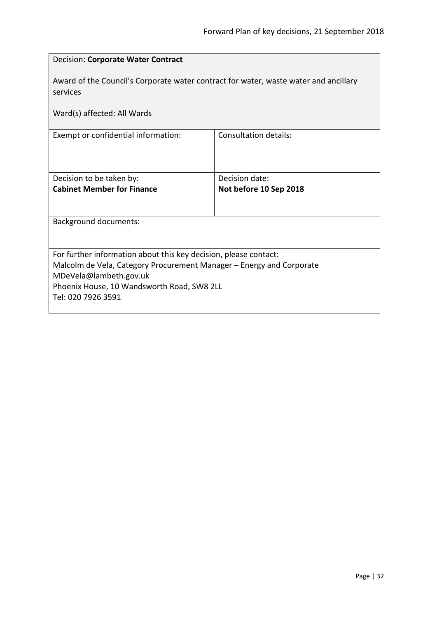<span id="page-31-0"></span>

| Decision: Corporate Water Contract                                                                                                                                                                                                     |                                          |  |
|----------------------------------------------------------------------------------------------------------------------------------------------------------------------------------------------------------------------------------------|------------------------------------------|--|
| Award of the Council's Corporate water contract for water, waste water and ancillary<br>services                                                                                                                                       |                                          |  |
| Ward(s) affected: All Wards                                                                                                                                                                                                            |                                          |  |
| <b>Consultation details:</b><br>Exempt or confidential information:                                                                                                                                                                    |                                          |  |
| Decision to be taken by:<br><b>Cabinet Member for Finance</b>                                                                                                                                                                          | Decision date:<br>Not before 10 Sep 2018 |  |
| <b>Background documents:</b>                                                                                                                                                                                                           |                                          |  |
| For further information about this key decision, please contact:<br>Malcolm de Vela, Category Procurement Manager – Energy and Corporate<br>MDeVela@lambeth.gov.uk<br>Phoenix House, 10 Wandsworth Road, SW8 2LL<br>Tel: 020 7926 3591 |                                          |  |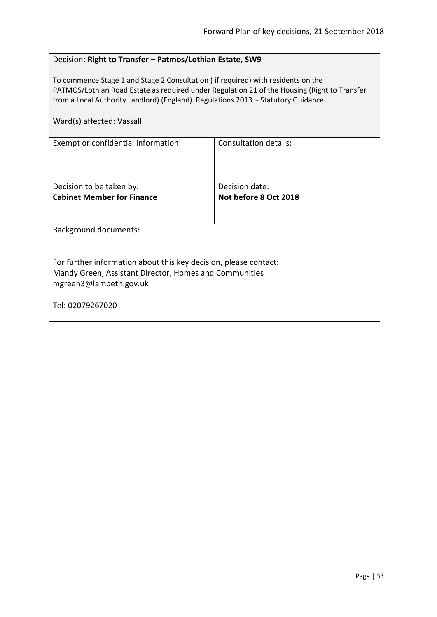# <span id="page-32-0"></span>Decision: **Right to Transfer – Patmos/Lothian Estate, SW9**

To commence Stage 1 and Stage 2 Consultation ( if required) with residents on the PATMOS/Lothian Road Estate as required under Regulation 21 of the Housing (Right to Transfer from a Local Authority Landlord) (England) Regulations 2013 - Statutory Guidance.

|  | Ward(s) affected: Vassall |  |
|--|---------------------------|--|
|--|---------------------------|--|

| Exempt or confidential information:                              | Consultation details: |  |
|------------------------------------------------------------------|-----------------------|--|
|                                                                  |                       |  |
|                                                                  |                       |  |
|                                                                  |                       |  |
|                                                                  | Decision date:        |  |
| Decision to be taken by:                                         |                       |  |
| <b>Cabinet Member for Finance</b>                                | Not before 8 Oct 2018 |  |
|                                                                  |                       |  |
|                                                                  |                       |  |
| Background documents:                                            |                       |  |
|                                                                  |                       |  |
|                                                                  |                       |  |
| For further information about this key decision, please contact: |                       |  |
|                                                                  |                       |  |
| Mandy Green, Assistant Director, Homes and Communities           |                       |  |
| mgreen3@lambeth.gov.uk                                           |                       |  |
|                                                                  |                       |  |
| Tel: 02079267020                                                 |                       |  |
|                                                                  |                       |  |
|                                                                  |                       |  |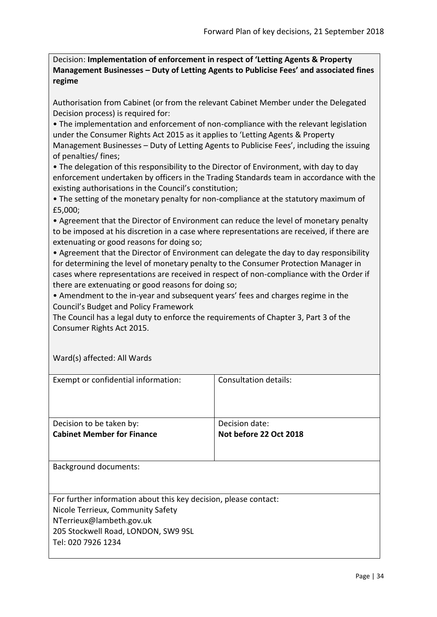<span id="page-33-0"></span>Decision: **Implementation of enforcement in respect of 'Letting Agents & Property Management Businesses – Duty of Letting Agents to Publicise Fees' and associated fines regime**

Authorisation from Cabinet (or from the relevant Cabinet Member under the Delegated Decision process) is required for:

• The implementation and enforcement of non-compliance with the relevant legislation under the Consumer Rights Act 2015 as it applies to 'Letting Agents & Property Management Businesses – Duty of Letting Agents to Publicise Fees', including the issuing of penalties/ fines;

• The delegation of this responsibility to the Director of Environment, with day to day enforcement undertaken by officers in the Trading Standards team in accordance with the existing authorisations in the Council's constitution;

• The setting of the monetary penalty for non-compliance at the statutory maximum of £5,000;

• Agreement that the Director of Environment can reduce the level of monetary penalty to be imposed at his discretion in a case where representations are received, if there are extenuating or good reasons for doing so;

• Agreement that the Director of Environment can delegate the day to day responsibility for determining the level of monetary penalty to the Consumer Protection Manager in cases where representations are received in respect of non-compliance with the Order if there are extenuating or good reasons for doing so;

• Amendment to the in-year and subsequent years' fees and charges regime in the Council's Budget and Policy Framework

The Council has a legal duty to enforce the requirements of Chapter 3, Part 3 of the Consumer Rights Act 2015.

| Exempt or confidential information:                              | Consultation details:  |
|------------------------------------------------------------------|------------------------|
| Decision to be taken by:                                         | Decision date:         |
| <b>Cabinet Member for Finance</b>                                | Not before 22 Oct 2018 |
| <b>Background documents:</b>                                     |                        |
|                                                                  |                        |
| For further information about this key decision, please contact: |                        |
| Nicole Terrieux, Community Safety                                |                        |
| NTerrieux@lambeth.gov.uk                                         |                        |
| 205 Stockwell Road, LONDON, SW9 9SL                              |                        |
| Tel: 020 7926 1234                                               |                        |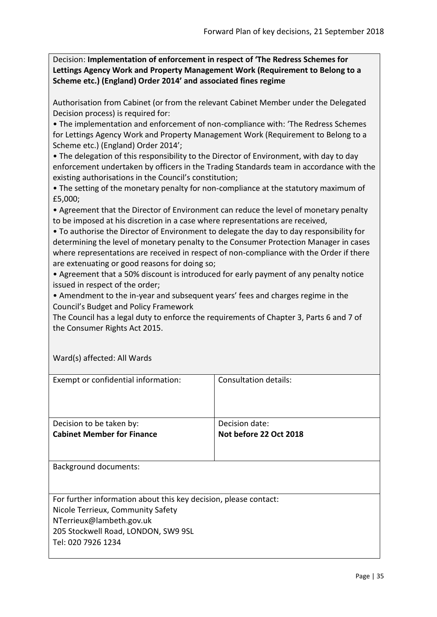<span id="page-34-0"></span>Decision: **Implementation of enforcement in respect of 'The Redress Schemes for Lettings Agency Work and Property Management Work (Requirement to Belong to a Scheme etc.) (England) Order 2014' and associated fines regime**

Authorisation from Cabinet (or from the relevant Cabinet Member under the Delegated Decision process) is required for:

• The implementation and enforcement of non-compliance with: 'The Redress Schemes for Lettings Agency Work and Property Management Work (Requirement to Belong to a Scheme etc.) (England) Order 2014';

• The delegation of this responsibility to the Director of Environment, with day to day enforcement undertaken by officers in the Trading Standards team in accordance with the existing authorisations in the Council's constitution;

• The setting of the monetary penalty for non-compliance at the statutory maximum of £5,000;

• Agreement that the Director of Environment can reduce the level of monetary penalty to be imposed at his discretion in a case where representations are received,

• To authorise the Director of Environment to delegate the day to day responsibility for determining the level of monetary penalty to the Consumer Protection Manager in cases where representations are received in respect of non-compliance with the Order if there are extenuating or good reasons for doing so;

• Agreement that a 50% discount is introduced for early payment of any penalty notice issued in respect of the order;

• Amendment to the in-year and subsequent years' fees and charges regime in the Council's Budget and Policy Framework

The Council has a legal duty to enforce the requirements of Chapter 3, Parts 6 and 7 of the Consumer Rights Act 2015.

| Exempt or confidential information:                              | Consultation details:  |
|------------------------------------------------------------------|------------------------|
|                                                                  |                        |
| Decision to be taken by:                                         | Decision date:         |
| <b>Cabinet Member for Finance</b>                                | Not before 22 Oct 2018 |
|                                                                  |                        |
| <b>Background documents:</b>                                     |                        |
| For further information about this key decision, please contact: |                        |
| Nicole Terrieux, Community Safety                                |                        |
| NTerrieux@lambeth.gov.uk                                         |                        |
| 205 Stockwell Road, LONDON, SW9 9SL                              |                        |
| Tel: 020 7926 1234                                               |                        |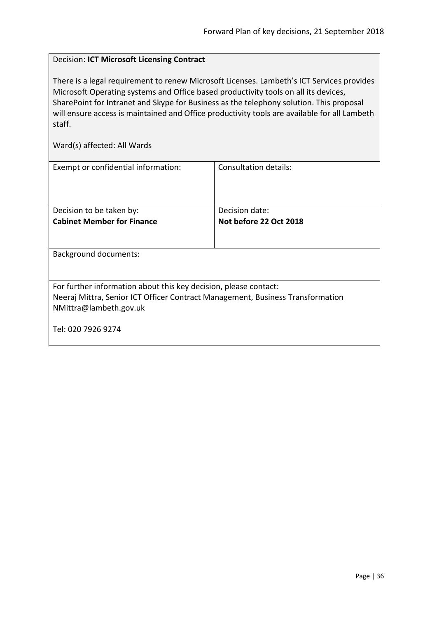# <span id="page-35-0"></span>Decision: **ICT Microsoft Licensing Contract**

There is a legal requirement to renew Microsoft Licenses. Lambeth's ICT Services provides Microsoft Operating systems and Office based productivity tools on all its devices, SharePoint for Intranet and Skype for Business as the telephony solution. This proposal will ensure access is maintained and Office productivity tools are available for all Lambeth staff.

| Exempt or confidential information:                                            | Consultation details:  |
|--------------------------------------------------------------------------------|------------------------|
| Decision to be taken by:                                                       | Decision date:         |
| <b>Cabinet Member for Finance</b>                                              | Not before 22 Oct 2018 |
|                                                                                |                        |
| <b>Background documents:</b>                                                   |                        |
| For further information about this key decision, please contact:               |                        |
| Neeraj Mittra, Senior ICT Officer Contract Management, Business Transformation |                        |
| NMittra@lambeth.gov.uk                                                         |                        |
| Tel: 020 7926 9274                                                             |                        |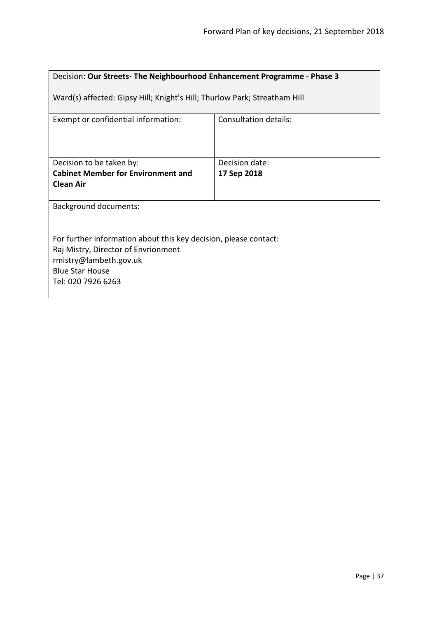<span id="page-36-0"></span>

| Decision: Our Streets-The Neighbourhood Enhancement Programme - Phase 3                                                                                                           |                              |  |
|-----------------------------------------------------------------------------------------------------------------------------------------------------------------------------------|------------------------------|--|
| Ward(s) affected: Gipsy Hill; Knight's Hill; Thurlow Park; Streatham Hill                                                                                                         |                              |  |
| Exempt or confidential information:                                                                                                                                               | <b>Consultation details:</b> |  |
| Decision to be taken by:                                                                                                                                                          | Decision date:               |  |
| <b>Cabinet Member for Environment and</b><br><b>Clean Air</b>                                                                                                                     | 17 Sep 2018                  |  |
| <b>Background documents:</b>                                                                                                                                                      |                              |  |
| For further information about this key decision, please contact:<br>Raj Mistry, Director of Envrionment<br>rmistry@lambeth.gov.uk<br><b>Blue Star House</b><br>Tel: 020 7926 6263 |                              |  |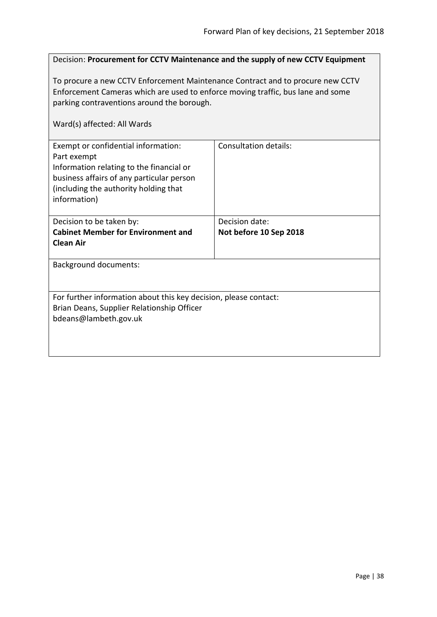<span id="page-37-0"></span>

| Decision: Procurement for CCTV Maintenance and the supply of new CCTV Equipment                                                                                                                                                                |                                          |  |
|------------------------------------------------------------------------------------------------------------------------------------------------------------------------------------------------------------------------------------------------|------------------------------------------|--|
| To procure a new CCTV Enforcement Maintenance Contract and to procure new CCTV<br>Enforcement Cameras which are used to enforce moving traffic, bus lane and some<br>parking contraventions around the borough.<br>Ward(s) affected: All Wards |                                          |  |
| Exempt or confidential information:<br>Part exempt<br>Information relating to the financial or<br>business affairs of any particular person<br>(including the authority holding that<br>information)                                           | <b>Consultation details:</b>             |  |
| Decision to be taken by:<br><b>Cabinet Member for Environment and</b>                                                                                                                                                                          | Decision date:<br>Not before 10 Sep 2018 |  |
| <b>Clean Air</b>                                                                                                                                                                                                                               |                                          |  |
| <b>Background documents:</b>                                                                                                                                                                                                                   |                                          |  |
| For further information about this key decision, please contact:<br>Brian Deans, Supplier Relationship Officer<br>bdeans@lambeth.gov.uk                                                                                                        |                                          |  |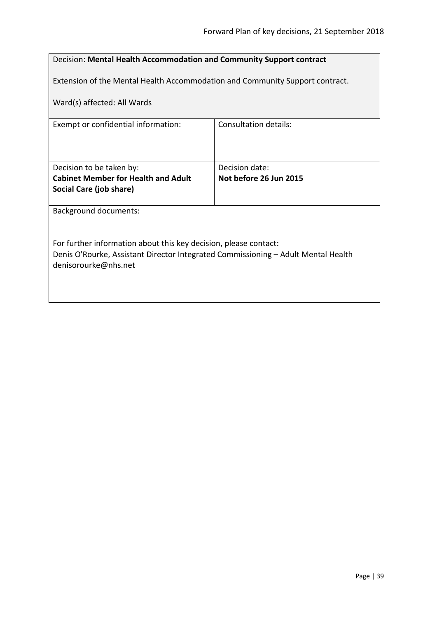<span id="page-38-0"></span>

| Decision: Mental Health Accommodation and Community Support contract              |                        |  |
|-----------------------------------------------------------------------------------|------------------------|--|
|                                                                                   |                        |  |
| Extension of the Mental Health Accommodation and Community Support contract.      |                        |  |
| Ward(s) affected: All Wards                                                       |                        |  |
| Consultation details:<br>Exempt or confidential information:                      |                        |  |
|                                                                                   |                        |  |
|                                                                                   |                        |  |
| Decision to be taken by:                                                          | Decision date:         |  |
| <b>Cabinet Member for Health and Adult</b>                                        | Not before 26 Jun 2015 |  |
| Social Care (job share)                                                           |                        |  |
| <b>Background documents:</b>                                                      |                        |  |
|                                                                                   |                        |  |
| For further information about this key decision, please contact:                  |                        |  |
| Denis O'Rourke, Assistant Director Integrated Commissioning - Adult Mental Health |                        |  |
| denisorourke@nhs.net                                                              |                        |  |
|                                                                                   |                        |  |
|                                                                                   |                        |  |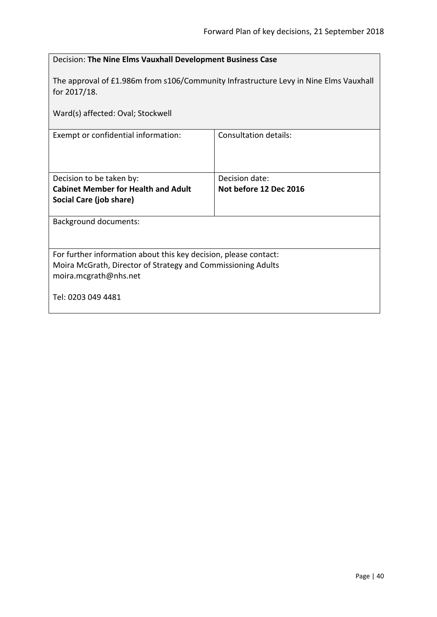<span id="page-39-0"></span>

| Decision: The Nine Elms Vauxhall Development Business Case                                            |                              |  |
|-------------------------------------------------------------------------------------------------------|------------------------------|--|
| The approval of £1.986m from s106/Community Infrastructure Levy in Nine Elms Vauxhall<br>for 2017/18. |                              |  |
| Ward(s) affected: Oval; Stockwell                                                                     |                              |  |
| Exempt or confidential information:                                                                   | <b>Consultation details:</b> |  |
|                                                                                                       |                              |  |
| Decision to be taken by:                                                                              | Decision date:               |  |
| <b>Cabinet Member for Health and Adult</b>                                                            | Not before 12 Dec 2016       |  |
| Social Care (job share)                                                                               |                              |  |
| <b>Background documents:</b>                                                                          |                              |  |
|                                                                                                       |                              |  |
| For further information about this key decision, please contact:                                      |                              |  |
| Moira McGrath, Director of Strategy and Commissioning Adults                                          |                              |  |
| moira.mcgrath@nhs.net                                                                                 |                              |  |
| Tel: 0203 049 4481                                                                                    |                              |  |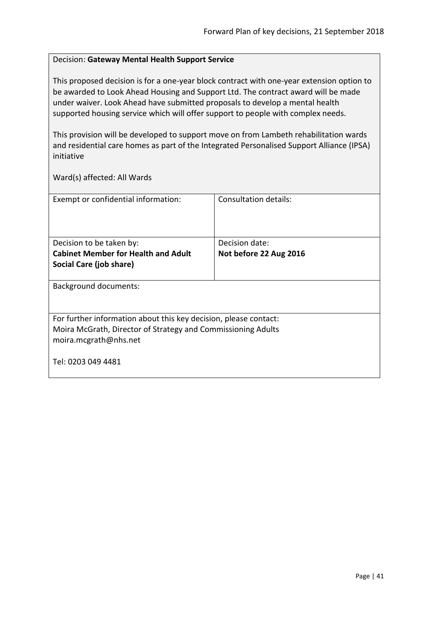### <span id="page-40-0"></span>Decision: **Gateway Mental Health Support Service**

This proposed decision is for a one-year block contract with one-year extension option to be awarded to Look Ahead Housing and Support Ltd. The contract award will be made under waiver. Look Ahead have submitted proposals to develop a mental health supported housing service which will offer support to people with complex needs.

This provision will be developed to support move on from Lambeth rehabilitation wards and residential care homes as part of the Integrated Personalised Support Alliance (IPSA) initiative

| Exempt or confidential information:                                                                                                                       | Consultation details:                    |
|-----------------------------------------------------------------------------------------------------------------------------------------------------------|------------------------------------------|
| Decision to be taken by:<br><b>Cabinet Member for Health and Adult</b><br>Social Care (job share)                                                         | Decision date:<br>Not before 22 Aug 2016 |
| <b>Background documents:</b>                                                                                                                              |                                          |
| For further information about this key decision, please contact:<br>Moira McGrath, Director of Strategy and Commissioning Adults<br>moira.mcgrath@nhs.net |                                          |
| Tel: 0203 049 4481                                                                                                                                        |                                          |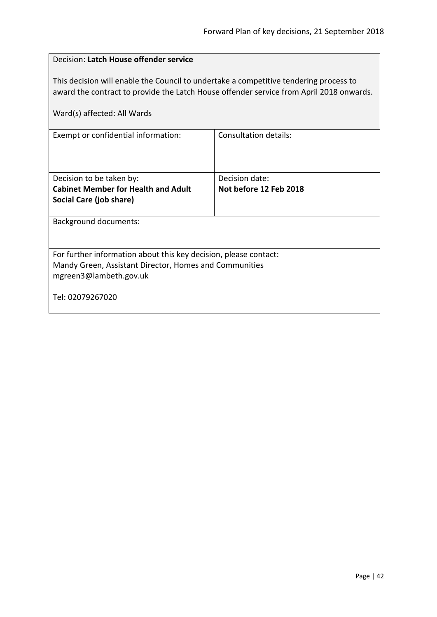<span id="page-41-0"></span>

| Decision: Latch House offender service                                                                                                                                                                          |                        |  |
|-----------------------------------------------------------------------------------------------------------------------------------------------------------------------------------------------------------------|------------------------|--|
| This decision will enable the Council to undertake a competitive tendering process to<br>award the contract to provide the Latch House offender service from April 2018 onwards.<br>Ward(s) affected: All Wards |                        |  |
| Exempt or confidential information:                                                                                                                                                                             | Consultation details:  |  |
|                                                                                                                                                                                                                 |                        |  |
| Decision to be taken by:                                                                                                                                                                                        | Decision date:         |  |
| <b>Cabinet Member for Health and Adult</b>                                                                                                                                                                      | Not before 12 Feb 2018 |  |
| Social Care (job share)                                                                                                                                                                                         |                        |  |
| <b>Background documents:</b>                                                                                                                                                                                    |                        |  |
|                                                                                                                                                                                                                 |                        |  |
| For further information about this key decision, please contact:                                                                                                                                                |                        |  |
| Mandy Green, Assistant Director, Homes and Communities                                                                                                                                                          |                        |  |
| mgreen3@lambeth.gov.uk                                                                                                                                                                                          |                        |  |
| Tel: 02079267020                                                                                                                                                                                                |                        |  |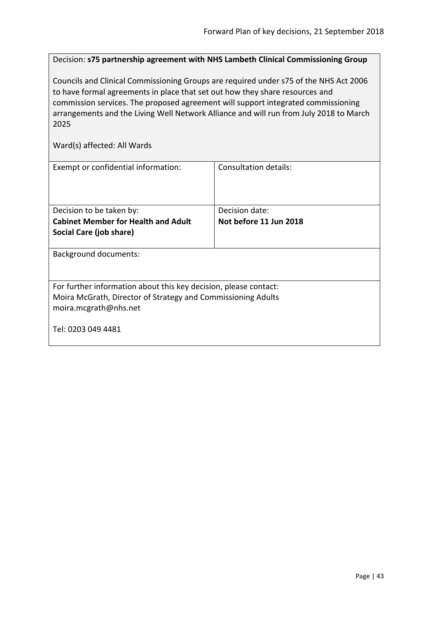<span id="page-42-0"></span>Decision: **s75 partnership agreement with NHS Lambeth Clinical Commissioning Group**

Councils and Clinical Commissioning Groups are required under s75 of the NHS Act 2006 to have formal agreements in place that set out how they share resources and commission services. The proposed agreement will support integrated commissioning arrangements and the Living Well Network Alliance and will run from July 2018 to March 2025

| Exempt or confidential information:                                                                                                                       | Consultation details:  |  |
|-----------------------------------------------------------------------------------------------------------------------------------------------------------|------------------------|--|
|                                                                                                                                                           |                        |  |
| Decision to be taken by:                                                                                                                                  | Decision date:         |  |
| <b>Cabinet Member for Health and Adult</b>                                                                                                                | Not before 11 Jun 2018 |  |
| Social Care (job share)                                                                                                                                   |                        |  |
| <b>Background documents:</b>                                                                                                                              |                        |  |
| For further information about this key decision, please contact:<br>Moira McGrath, Director of Strategy and Commissioning Adults<br>moira.mcgrath@nhs.net |                        |  |
| Tel: 0203 049 4481                                                                                                                                        |                        |  |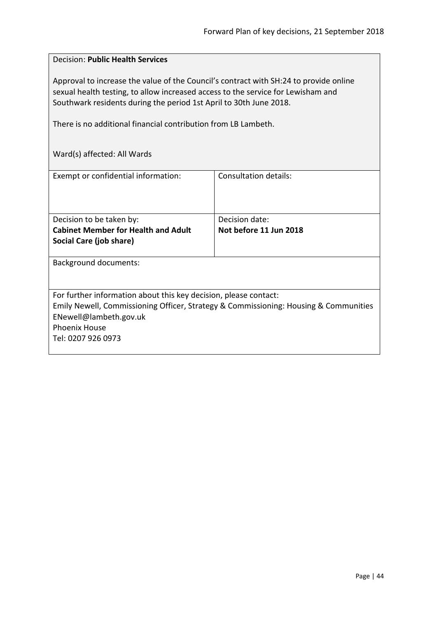# <span id="page-43-0"></span>Decision: **Public Health Services**

Approval to increase the value of the Council's contract with SH:24 to provide online sexual health testing, to allow increased access to the service for Lewisham and Southwark residents during the period 1st April to 30th June 2018.

There is no additional financial contribution from LB Lambeth.

| Exempt or confidential information:                              | Consultation details:                                                                |
|------------------------------------------------------------------|--------------------------------------------------------------------------------------|
|                                                                  |                                                                                      |
|                                                                  |                                                                                      |
|                                                                  |                                                                                      |
|                                                                  |                                                                                      |
| Decision to be taken by:                                         | Decision date:                                                                       |
| <b>Cabinet Member for Health and Adult</b>                       | Not before 11 Jun 2018                                                               |
| Social Care (job share)                                          |                                                                                      |
|                                                                  |                                                                                      |
|                                                                  |                                                                                      |
| <b>Background documents:</b>                                     |                                                                                      |
|                                                                  |                                                                                      |
|                                                                  |                                                                                      |
| For further information about this key decision, please contact: |                                                                                      |
|                                                                  | Emily Newell, Commissioning Officer, Strategy & Commissioning: Housing & Communities |
|                                                                  |                                                                                      |
| ENewell@lambeth.gov.uk                                           |                                                                                      |
| <b>Phoenix House</b>                                             |                                                                                      |
| Tel: 0207 926 0973                                               |                                                                                      |
|                                                                  |                                                                                      |
|                                                                  |                                                                                      |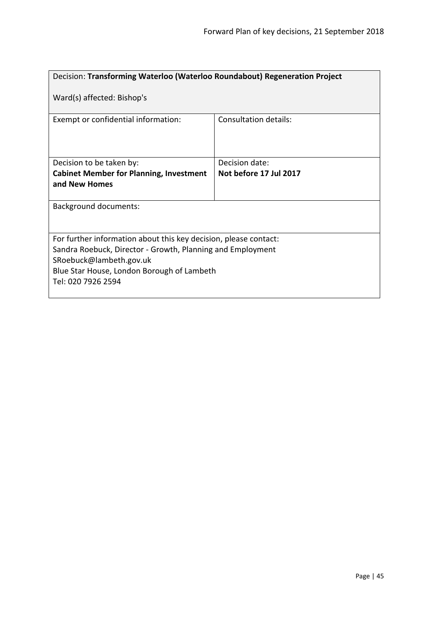<span id="page-44-0"></span>

| Decision: Transforming Waterloo (Waterloo Roundabout) Regeneration Project                                                                                                                                                    |                        |  |
|-------------------------------------------------------------------------------------------------------------------------------------------------------------------------------------------------------------------------------|------------------------|--|
| Ward(s) affected: Bishop's                                                                                                                                                                                                    |                        |  |
| Exempt or confidential information:                                                                                                                                                                                           | Consultation details:  |  |
| Decision to be taken by:                                                                                                                                                                                                      | Decision date:         |  |
| <b>Cabinet Member for Planning, Investment</b><br>and New Homes                                                                                                                                                               | Not before 17 Jul 2017 |  |
| <b>Background documents:</b>                                                                                                                                                                                                  |                        |  |
| For further information about this key decision, please contact:<br>Sandra Roebuck, Director - Growth, Planning and Employment<br>SRoebuck@lambeth.gov.uk<br>Blue Star House, London Borough of Lambeth<br>Tel: 020 7926 2594 |                        |  |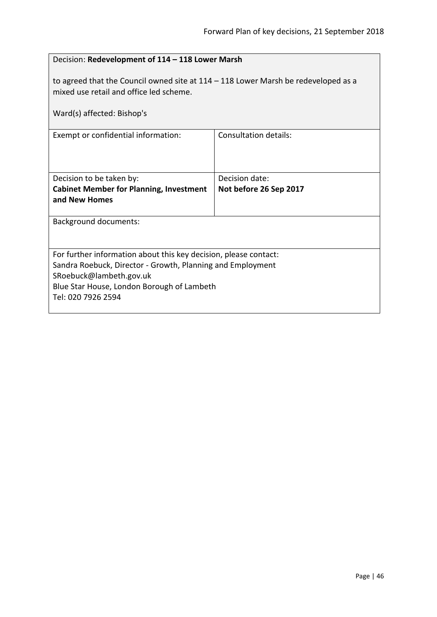<span id="page-45-0"></span>

| Decision: Redevelopment of 114 - 118 Lower Marsh                                                                                                                                                                              |                                          |  |
|-------------------------------------------------------------------------------------------------------------------------------------------------------------------------------------------------------------------------------|------------------------------------------|--|
| to agreed that the Council owned site at $114 - 118$ Lower Marsh be redeveloped as a<br>mixed use retail and office led scheme.<br>Ward(s) affected: Bishop's                                                                 |                                          |  |
| Exempt or confidential information:                                                                                                                                                                                           | Consultation details:                    |  |
| Decision to be taken by:<br><b>Cabinet Member for Planning, Investment</b><br>and New Homes                                                                                                                                   | Decision date:<br>Not before 26 Sep 2017 |  |
| <b>Background documents:</b>                                                                                                                                                                                                  |                                          |  |
| For further information about this key decision, please contact:<br>Sandra Roebuck, Director - Growth, Planning and Employment<br>SRoebuck@lambeth.gov.uk<br>Blue Star House, London Borough of Lambeth<br>Tel: 020 7926 2594 |                                          |  |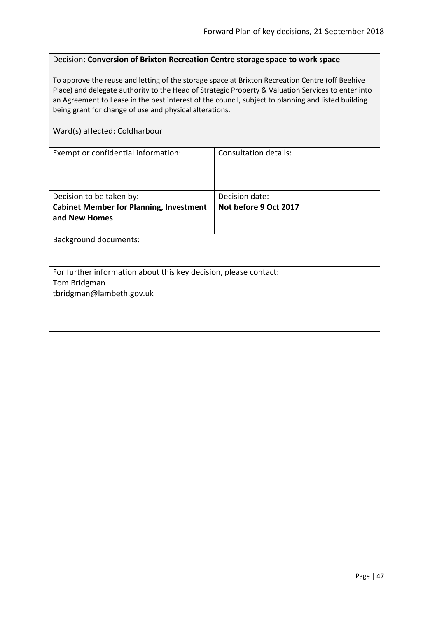#### <span id="page-46-0"></span>Decision: **Conversion of Brixton Recreation Centre storage space to work space**

To approve the reuse and letting of the storage space at Brixton Recreation Centre (off Beehive Place) and delegate authority to the Head of Strategic Property & Valuation Services to enter into an Agreement to Lease in the best interest of the council, subject to planning and listed building being grant for change of use and physical alterations.

#### Ward(s) affected: Coldharbour

| Exempt or confidential information:                              | Consultation details: |  |
|------------------------------------------------------------------|-----------------------|--|
|                                                                  |                       |  |
|                                                                  |                       |  |
|                                                                  |                       |  |
| Decision to be taken by:                                         | Decision date:        |  |
| <b>Cabinet Member for Planning, Investment</b>                   | Not before 9 Oct 2017 |  |
| and New Homes                                                    |                       |  |
|                                                                  |                       |  |
| <b>Background documents:</b>                                     |                       |  |
|                                                                  |                       |  |
|                                                                  |                       |  |
| For further information about this key decision, please contact: |                       |  |
| Tom Bridgman                                                     |                       |  |
| tbridgman@lambeth.gov.uk                                         |                       |  |
|                                                                  |                       |  |
|                                                                  |                       |  |
|                                                                  |                       |  |
|                                                                  |                       |  |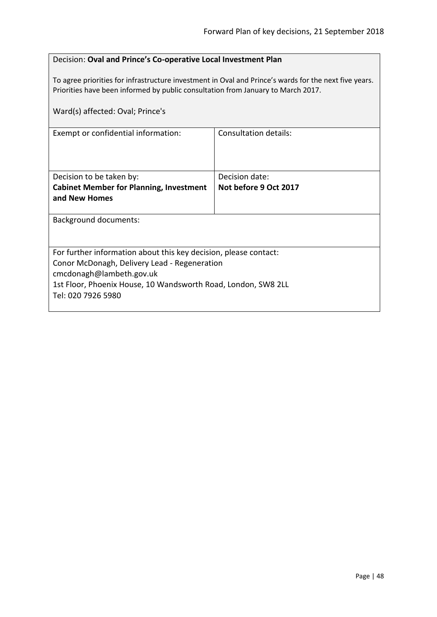# <span id="page-47-0"></span>Decision: **Oval and Prince's Co-operative Local Investment Plan**

To agree priorities for infrastructure investment in Oval and Prince's wards for the next five years. Priorities have been informed by public consultation from January to March 2017.

| Ward(s) affected: Oval; Prince's                                                    |                       |  |
|-------------------------------------------------------------------------------------|-----------------------|--|
| Exempt or confidential information:                                                 | Consultation details: |  |
| Decision to be taken by:                                                            | Decision date:        |  |
| <b>Cabinet Member for Planning, Investment</b>                                      | Not before 9 Oct 2017 |  |
| and New Homes                                                                       |                       |  |
| Background documents:                                                               |                       |  |
| For further information about this key decision, please contact:                    |                       |  |
| Conor McDonagh, Delivery Lead - Regeneration                                        |                       |  |
| cmcdonagh@lambeth.gov.uk                                                            |                       |  |
| 1st Floor, Phoenix House, 10 Wandsworth Road, London, SW8 2LL<br>Tel: 020 7926 5980 |                       |  |
|                                                                                     |                       |  |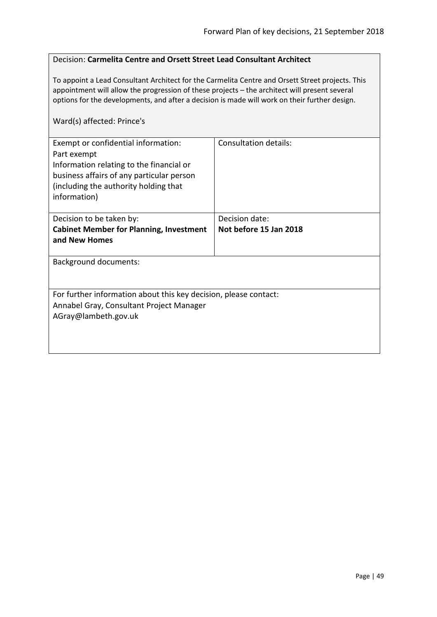#### <span id="page-48-0"></span>Decision: **Carmelita Centre and Orsett Street Lead Consultant Architect**

To appoint a Lead Consultant Architect for the Carmelita Centre and Orsett Street projects. This appointment will allow the progression of these projects – the architect will present several options for the developments, and after a decision is made will work on their further design.

# Ward(s) affected: Prince's

| Exempt or confidential information:<br>Part exempt<br>Information relating to the financial or<br>business affairs of any particular person<br>(including the authority holding that<br>information) | <b>Consultation details:</b> |
|------------------------------------------------------------------------------------------------------------------------------------------------------------------------------------------------------|------------------------------|
| Decision to be taken by:                                                                                                                                                                             | Decision date:               |
| <b>Cabinet Member for Planning, Investment</b><br>and New Homes                                                                                                                                      | Not before 15 Jan 2018       |
| <b>Background documents:</b>                                                                                                                                                                         |                              |
| For further information about this key decision, please contact:<br>Annabel Gray, Consultant Project Manager<br>AGray@lambeth.gov.uk                                                                 |                              |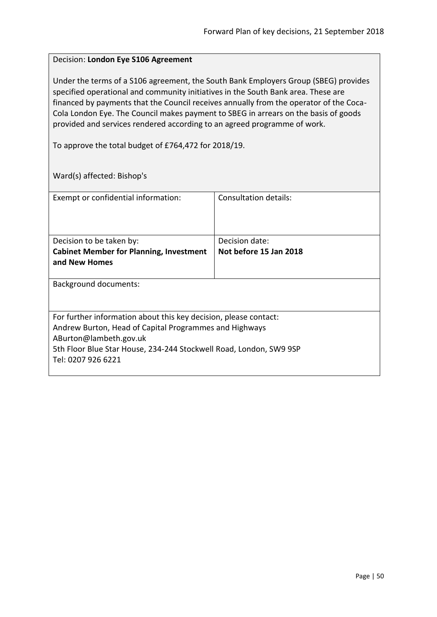#### <span id="page-49-0"></span>Decision: **London Eye S106 Agreement**

Under the terms of a S106 agreement, the South Bank Employers Group (SBEG) provides specified operational and community initiatives in the South Bank area. These are financed by payments that the Council receives annually from the operator of the Coca-Cola London Eye. The Council makes payment to SBEG in arrears on the basis of goods provided and services rendered according to an agreed programme of work.

To approve the total budget of £764,472 for 2018/19.

Ward(s) affected: Bishop's

| Exempt or confidential information:                                | Consultation details:  |  |
|--------------------------------------------------------------------|------------------------|--|
|                                                                    |                        |  |
|                                                                    |                        |  |
| Decision to be taken by:                                           | Decision date:         |  |
| <b>Cabinet Member for Planning, Investment</b>                     | Not before 15 Jan 2018 |  |
| and New Homes                                                      |                        |  |
|                                                                    |                        |  |
| <b>Background documents:</b>                                       |                        |  |
|                                                                    |                        |  |
|                                                                    |                        |  |
| For further information about this key decision, please contact:   |                        |  |
| Andrew Burton, Head of Capital Programmes and Highways             |                        |  |
| ABurton@lambeth.gov.uk                                             |                        |  |
| 5th Floor Blue Star House, 234-244 Stockwell Road, London, SW9 9SP |                        |  |
| Tel: 0207 926 6221                                                 |                        |  |
|                                                                    |                        |  |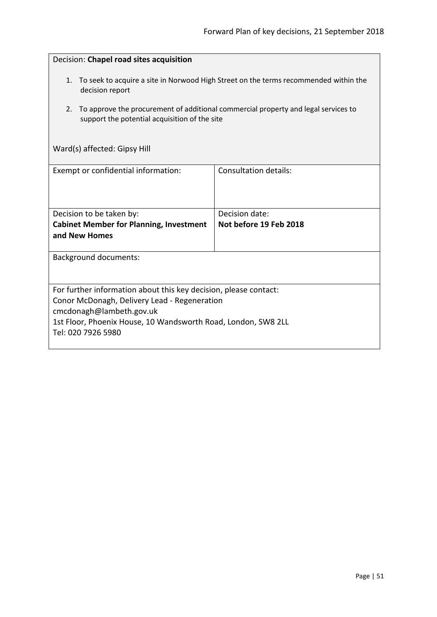<span id="page-50-0"></span>

| Decision: Chapel road sites acquisition                                                                                                                                                                                             |                                          |  |
|-------------------------------------------------------------------------------------------------------------------------------------------------------------------------------------------------------------------------------------|------------------------------------------|--|
| 1. To seek to acquire a site in Norwood High Street on the terms recommended within the<br>decision report                                                                                                                          |                                          |  |
| To approve the procurement of additional commercial property and legal services to<br>2.<br>support the potential acquisition of the site                                                                                           |                                          |  |
| Ward(s) affected: Gipsy Hill                                                                                                                                                                                                        |                                          |  |
| <b>Consultation details:</b><br>Exempt or confidential information:                                                                                                                                                                 |                                          |  |
| Decision to be taken by:<br><b>Cabinet Member for Planning, Investment</b><br>and New Homes                                                                                                                                         | Decision date:<br>Not before 19 Feb 2018 |  |
| <b>Background documents:</b>                                                                                                                                                                                                        |                                          |  |
| For further information about this key decision, please contact:<br>Conor McDonagh, Delivery Lead - Regeneration<br>cmcdonagh@lambeth.gov.uk<br>1st Floor, Phoenix House, 10 Wandsworth Road, London, SW8 2LL<br>Tel: 020 7926 5980 |                                          |  |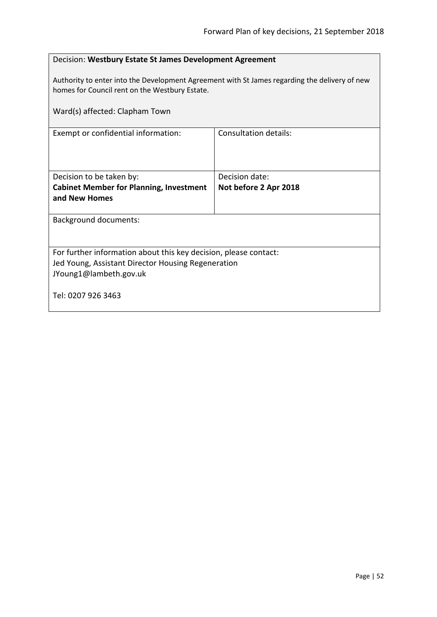<span id="page-51-0"></span>

| Decision: Westbury Estate St James Development Agreement                                                                                        |                       |  |
|-------------------------------------------------------------------------------------------------------------------------------------------------|-----------------------|--|
| Authority to enter into the Development Agreement with St James regarding the delivery of new<br>homes for Council rent on the Westbury Estate. |                       |  |
| Ward(s) affected: Clapham Town                                                                                                                  |                       |  |
| Consultation details:<br>Exempt or confidential information:                                                                                    |                       |  |
|                                                                                                                                                 |                       |  |
| Decision to be taken by:                                                                                                                        | Decision date:        |  |
| <b>Cabinet Member for Planning, Investment</b><br>and New Homes                                                                                 | Not before 2 Apr 2018 |  |
|                                                                                                                                                 |                       |  |
| <b>Background documents:</b>                                                                                                                    |                       |  |
|                                                                                                                                                 |                       |  |
| For further information about this key decision, please contact:                                                                                |                       |  |
| Jed Young, Assistant Director Housing Regeneration                                                                                              |                       |  |
| JYoung1@lambeth.gov.uk                                                                                                                          |                       |  |
| Tel: 0207 926 3463                                                                                                                              |                       |  |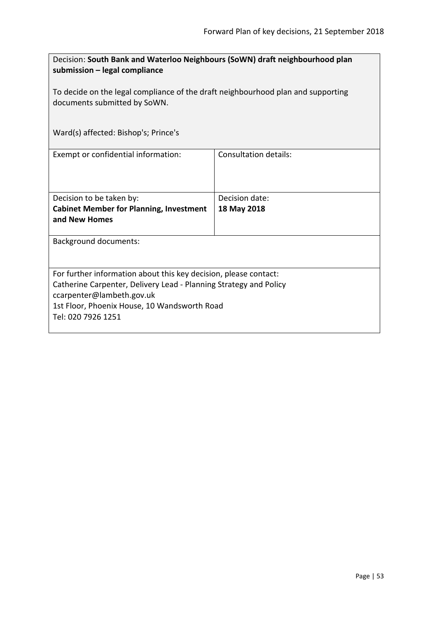<span id="page-52-0"></span>

| Decision: South Bank and Waterloo Neighbours (SoWN) draft neighbourhood plan<br>submission – legal compliance                                                                                                                            |                               |  |
|------------------------------------------------------------------------------------------------------------------------------------------------------------------------------------------------------------------------------------------|-------------------------------|--|
| To decide on the legal compliance of the draft neighbourhood plan and supporting<br>documents submitted by SoWN.                                                                                                                         |                               |  |
| Ward(s) affected: Bishop's; Prince's                                                                                                                                                                                                     |                               |  |
| Exempt or confidential information:                                                                                                                                                                                                      | <b>Consultation details:</b>  |  |
| Decision to be taken by:<br><b>Cabinet Member for Planning, Investment</b><br>and New Homes                                                                                                                                              | Decision date:<br>18 May 2018 |  |
|                                                                                                                                                                                                                                          |                               |  |
| <b>Background documents:</b>                                                                                                                                                                                                             |                               |  |
| For further information about this key decision, please contact:<br>Catherine Carpenter, Delivery Lead - Planning Strategy and Policy<br>ccarpenter@lambeth.gov.uk<br>1st Floor, Phoenix House, 10 Wandsworth Road<br>Tel: 020 7926 1251 |                               |  |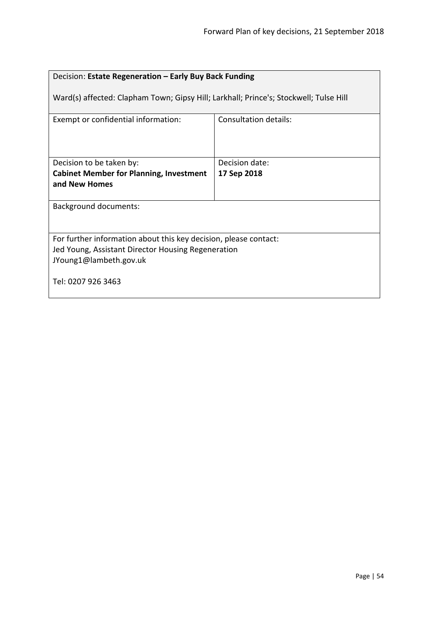<span id="page-53-0"></span>

| Decision: Estate Regeneration - Early Buy Back Funding                                                                 |                              |  |
|------------------------------------------------------------------------------------------------------------------------|------------------------------|--|
| Ward(s) affected: Clapham Town; Gipsy Hill; Larkhall; Prince's; Stockwell; Tulse Hill                                  |                              |  |
| Exempt or confidential information:                                                                                    | <b>Consultation details:</b> |  |
| Decision to be taken by:                                                                                               | Decision date:               |  |
| <b>Cabinet Member for Planning, Investment</b>                                                                         | 17 Sep 2018                  |  |
| and New Homes                                                                                                          |                              |  |
| <b>Background documents:</b>                                                                                           |                              |  |
| For further information about this key decision, please contact:<br>Jed Young, Assistant Director Housing Regeneration |                              |  |
| JYoung1@lambeth.gov.uk                                                                                                 |                              |  |
| Tel: 0207 926 3463                                                                                                     |                              |  |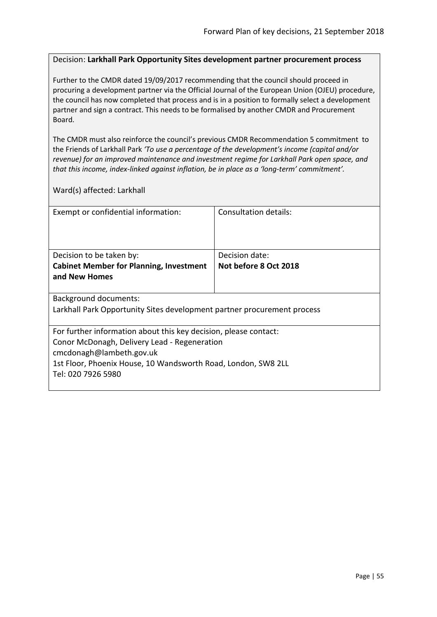#### <span id="page-54-0"></span>Decision: **Larkhall Park Opportunity Sites development partner procurement process**

Further to the CMDR dated 19/09/2017 recommending that the council should proceed in procuring a development partner via the Official Journal of the European Union (OJEU) procedure, the council has now completed that process and is in a position to formally select a development partner and sign a contract. This needs to be formalised by another CMDR and Procurement Board.

The CMDR must also reinforce the council's previous CMDR Recommendation 5 commitment to the Friends of Larkhall Park *'To use a percentage of the development's income (capital and/or revenue) for an improved maintenance and investment regime for Larkhall Park open space, and that this income, index-linked against inflation, be in place as a 'long-term' commitment'.*

Ward(s) affected: Larkhall

| Exempt or confidential information:                                     | Consultation details: |
|-------------------------------------------------------------------------|-----------------------|
|                                                                         |                       |
|                                                                         |                       |
|                                                                         |                       |
| Decision to be taken by:                                                | Decision date:        |
| <b>Cabinet Member for Planning, Investment</b>                          | Not before 8 Oct 2018 |
| and New Homes                                                           |                       |
|                                                                         |                       |
| <b>Background documents:</b>                                            |                       |
| Larkhall Park Opportunity Sites development partner procurement process |                       |
|                                                                         |                       |
| For further information about this key decision, please contact:        |                       |
| Conor McDonagh, Delivery Lead - Regeneration                            |                       |
| cmcdonagh@lambeth.gov.uk                                                |                       |
| 1st Floor, Phoenix House, 10 Wandsworth Road, London, SW8 2LL           |                       |
| Tel: 020 7926 5980                                                      |                       |
|                                                                         |                       |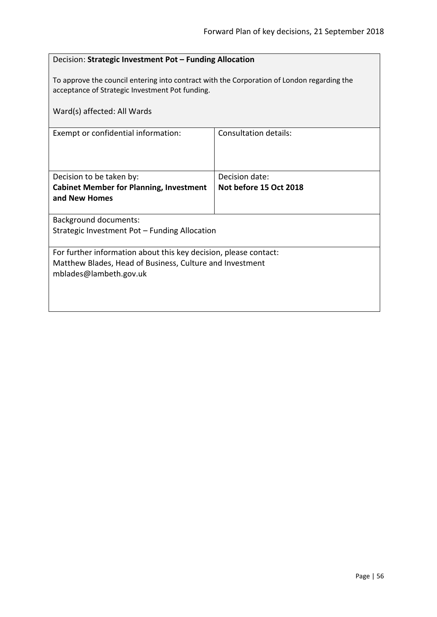<span id="page-55-0"></span>

|                                                                                                                                                        | Decision: Strategic Investment Pot - Funding Allocation |  |
|--------------------------------------------------------------------------------------------------------------------------------------------------------|---------------------------------------------------------|--|
| To approve the council entering into contract with the Corporation of London regarding the<br>acceptance of Strategic Investment Pot funding.          |                                                         |  |
| Ward(s) affected: All Wards                                                                                                                            |                                                         |  |
| Exempt or confidential information:                                                                                                                    | Consultation details:                                   |  |
|                                                                                                                                                        |                                                         |  |
| Decision to be taken by:                                                                                                                               | Decision date:                                          |  |
| <b>Cabinet Member for Planning, Investment</b><br>and New Homes                                                                                        | Not before 15 Oct 2018                                  |  |
| <b>Background documents:</b>                                                                                                                           |                                                         |  |
| Strategic Investment Pot - Funding Allocation                                                                                                          |                                                         |  |
| For further information about this key decision, please contact:<br>Matthew Blades, Head of Business, Culture and Investment<br>mblades@lambeth.gov.uk |                                                         |  |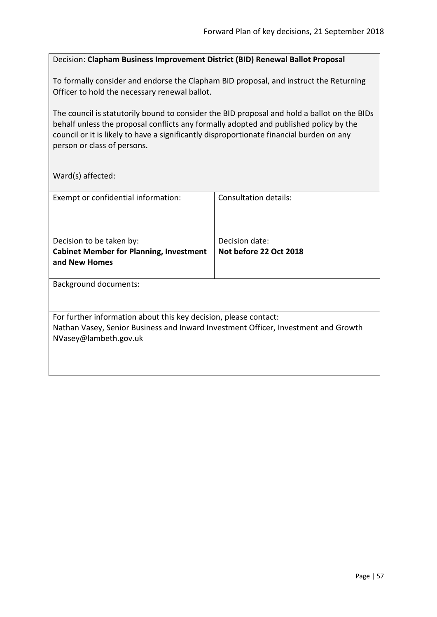### <span id="page-56-0"></span>Decision: **Clapham Business Improvement District (BID) Renewal Ballot Proposal**

To formally consider and endorse the Clapham BID proposal, and instruct the Returning Officer to hold the necessary renewal ballot.

The council is statutorily bound to consider the BID proposal and hold a ballot on the BIDs behalf unless the proposal conflicts any formally adopted and published policy by the council or it is likely to have a significantly disproportionate financial burden on any person or class of persons.

Ward(s) affected:

| Exempt or confidential information:                                                | Consultation details:  |  |
|------------------------------------------------------------------------------------|------------------------|--|
|                                                                                    |                        |  |
|                                                                                    |                        |  |
| Decision to be taken by:                                                           | Decision date:         |  |
| <b>Cabinet Member for Planning, Investment</b>                                     | Not before 22 Oct 2018 |  |
| and New Homes                                                                      |                        |  |
|                                                                                    |                        |  |
| Background documents:                                                              |                        |  |
|                                                                                    |                        |  |
|                                                                                    |                        |  |
| For further information about this key decision, please contact:                   |                        |  |
| Nathan Vasey, Senior Business and Inward Investment Officer, Investment and Growth |                        |  |
| NVasey@lambeth.gov.uk                                                              |                        |  |
|                                                                                    |                        |  |
|                                                                                    |                        |  |
|                                                                                    |                        |  |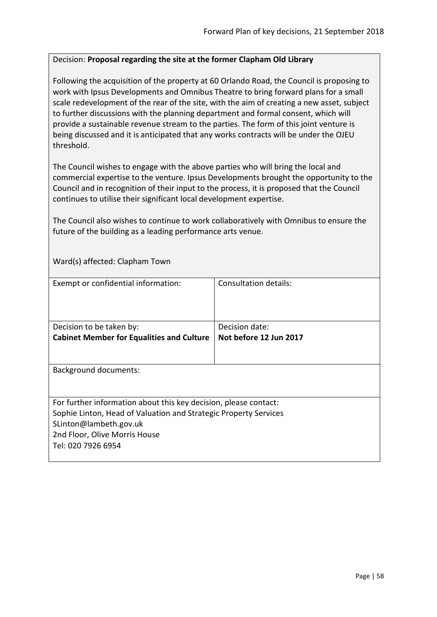### <span id="page-57-0"></span>Decision: **Proposal regarding the site at the former Clapham Old Library**

Following the acquisition of the property at 60 Orlando Road, the Council is proposing to work with Ipsus Developments and Omnibus Theatre to bring forward plans for a small scale redevelopment of the rear of the site, with the aim of creating a new asset, subject to further discussions with the planning department and formal consent, which will provide a sustainable revenue stream to the parties. The form of this joint venture is being discussed and it is anticipated that any works contracts will be under the OJEU threshold.

The Council wishes to engage with the above parties who will bring the local and commercial expertise to the venture. Ipsus Developments brought the opportunity to the Council and in recognition of their input to the process, it is proposed that the Council continues to utilise their significant local development expertise.

The Council also wishes to continue to work collaboratively with Omnibus to ensure the future of the building as a leading performance arts venue.

Ward(s) affected: Clapham Town

| Exempt or confidential information:                              | Consultation details:  |
|------------------------------------------------------------------|------------------------|
|                                                                  |                        |
|                                                                  |                        |
|                                                                  |                        |
|                                                                  |                        |
| Decision to be taken by:                                         | Decision date:         |
| <b>Cabinet Member for Equalities and Culture</b>                 | Not before 12 Jun 2017 |
|                                                                  |                        |
|                                                                  |                        |
|                                                                  |                        |
| <b>Background documents:</b>                                     |                        |
|                                                                  |                        |
|                                                                  |                        |
| For further information about this key decision, please contact: |                        |
| Sophie Linton, Head of Valuation and Strategic Property Services |                        |
| SLinton@lambeth.gov.uk                                           |                        |
|                                                                  |                        |
| 2nd Floor, Olive Morris House                                    |                        |
| Tel: 020 7926 6954                                               |                        |
|                                                                  |                        |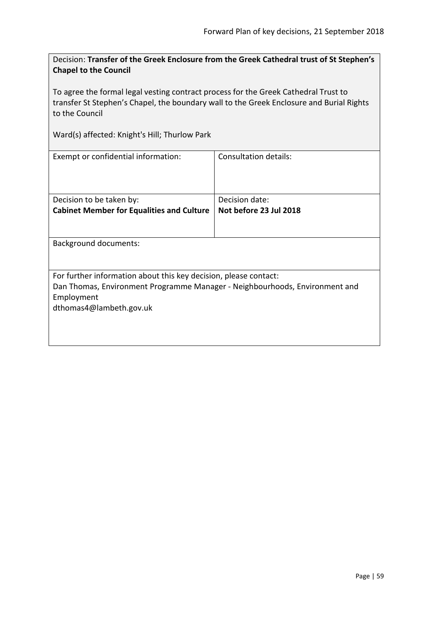<span id="page-58-0"></span>Decision: **Transfer of the Greek Enclosure from the Greek Cathedral trust of St Stephen's Chapel to the Council**

To agree the formal legal vesting contract process for the Greek Cathedral Trust to transfer St Stephen's Chapel, the boundary wall to the Greek Enclosure and Burial Rights to the Council

Ward(s) affected: Knight's Hill; Thurlow Park

| Exempt or confidential information:                                         | <b>Consultation details:</b> |  |
|-----------------------------------------------------------------------------|------------------------------|--|
| Decision to be taken by:                                                    | Decision date:               |  |
| <b>Cabinet Member for Equalities and Culture</b>                            | Not before 23 Jul 2018       |  |
|                                                                             |                              |  |
| <b>Background documents:</b>                                                |                              |  |
| For further information about this key decision, please contact:            |                              |  |
| Dan Thomas, Environment Programme Manager - Neighbourhoods, Environment and |                              |  |
| Employment                                                                  |                              |  |
| dthomas4@lambeth.gov.uk                                                     |                              |  |
|                                                                             |                              |  |
|                                                                             |                              |  |
|                                                                             |                              |  |
|                                                                             |                              |  |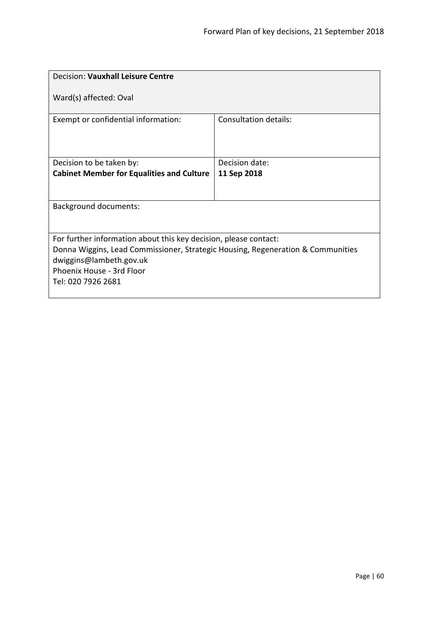<span id="page-59-0"></span>

| Decision: Vauxhall Leisure Centre                                               |                       |  |
|---------------------------------------------------------------------------------|-----------------------|--|
| Ward(s) affected: Oval                                                          |                       |  |
| Exempt or confidential information:                                             | Consultation details: |  |
| Decision to be taken by:                                                        | Decision date:        |  |
| <b>Cabinet Member for Equalities and Culture</b>                                | 11 Sep 2018           |  |
|                                                                                 |                       |  |
| <b>Background documents:</b>                                                    |                       |  |
|                                                                                 |                       |  |
| For further information about this key decision, please contact:                |                       |  |
| Donna Wiggins, Lead Commissioner, Strategic Housing, Regeneration & Communities |                       |  |
| dwiggins@lambeth.gov.uk                                                         |                       |  |
| Phoenix House - 3rd Floor                                                       |                       |  |
| Tel: 020 7926 2681                                                              |                       |  |
|                                                                                 |                       |  |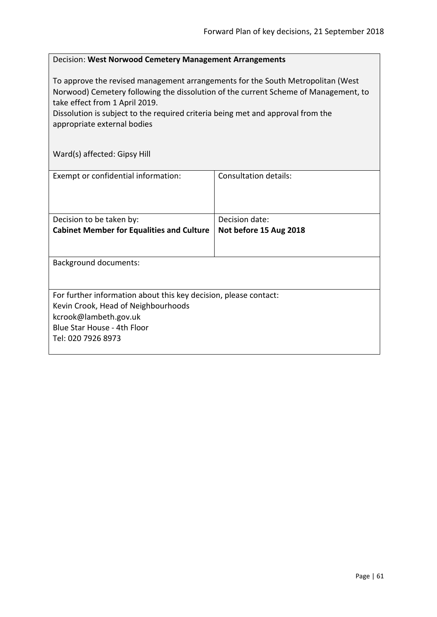#### <span id="page-60-0"></span>Decision: **West Norwood Cemetery Management Arrangements**

To approve the revised management arrangements for the South Metropolitan (West Norwood) Cemetery following the dissolution of the current Scheme of Management, to take effect from 1 April 2019.

Dissolution is subject to the required criteria being met and approval from the appropriate external bodies

Ward(s) affected: Gipsy Hill

| Exempt or confidential information:                                                                                                                                                   | Consultation details:                    |
|---------------------------------------------------------------------------------------------------------------------------------------------------------------------------------------|------------------------------------------|
| Decision to be taken by:<br><b>Cabinet Member for Equalities and Culture</b>                                                                                                          | Decision date:<br>Not before 15 Aug 2018 |
| <b>Background documents:</b>                                                                                                                                                          |                                          |
| For further information about this key decision, please contact:<br>Kevin Crook, Head of Neighbourhoods<br>kcrook@lambeth.gov.uk<br>Blue Star House - 4th Floor<br>Tel: 020 7926 8973 |                                          |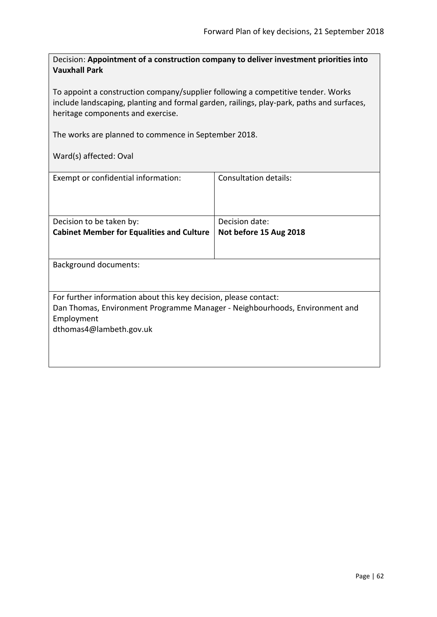<span id="page-61-0"></span>Decision: **Appointment of a construction company to deliver investment priorities into Vauxhall Park**

To appoint a construction company/supplier following a competitive tender. Works include landscaping, planting and formal garden, railings, play-park, paths and surfaces, heritage components and exercise.

The works are planned to commence in September 2018.

Ward(s) affected: Oval

| Exempt or confidential information:                                         | Consultation details:  |
|-----------------------------------------------------------------------------|------------------------|
| Decision to be taken by:                                                    | Decision date:         |
| <b>Cabinet Member for Equalities and Culture</b>                            | Not before 15 Aug 2018 |
| Background documents:                                                       |                        |
| For further information about this key decision, please contact:            |                        |
| Dan Thomas, Environment Programme Manager - Neighbourhoods, Environment and |                        |
| Employment                                                                  |                        |
| dthomas4@lambeth.gov.uk                                                     |                        |
|                                                                             |                        |
|                                                                             |                        |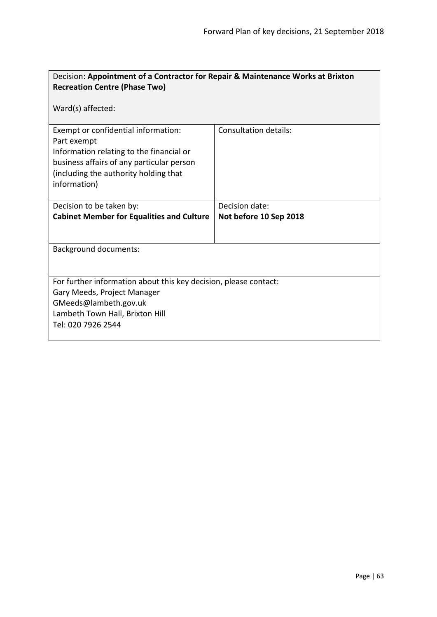<span id="page-62-0"></span>

| Decision: Appointment of a Contractor for Repair & Maintenance Works at Brixton |                        |  |
|---------------------------------------------------------------------------------|------------------------|--|
| <b>Recreation Centre (Phase Two)</b>                                            |                        |  |
| Ward(s) affected:                                                               |                        |  |
|                                                                                 |                        |  |
| Exempt or confidential information:                                             | Consultation details:  |  |
| Part exempt                                                                     |                        |  |
| Information relating to the financial or                                        |                        |  |
| business affairs of any particular person                                       |                        |  |
| (including the authority holding that                                           |                        |  |
| information)                                                                    |                        |  |
|                                                                                 |                        |  |
| Decision to be taken by:                                                        | Decision date:         |  |
| <b>Cabinet Member for Equalities and Culture</b>                                | Not before 10 Sep 2018 |  |
|                                                                                 |                        |  |
| <b>Background documents:</b>                                                    |                        |  |
|                                                                                 |                        |  |
|                                                                                 |                        |  |
| For further information about this key decision, please contact:                |                        |  |
| Gary Meeds, Project Manager                                                     |                        |  |
| GMeeds@lambeth.gov.uk                                                           |                        |  |
| Lambeth Town Hall, Brixton Hill                                                 |                        |  |
| Tel: 020 7926 2544                                                              |                        |  |
|                                                                                 |                        |  |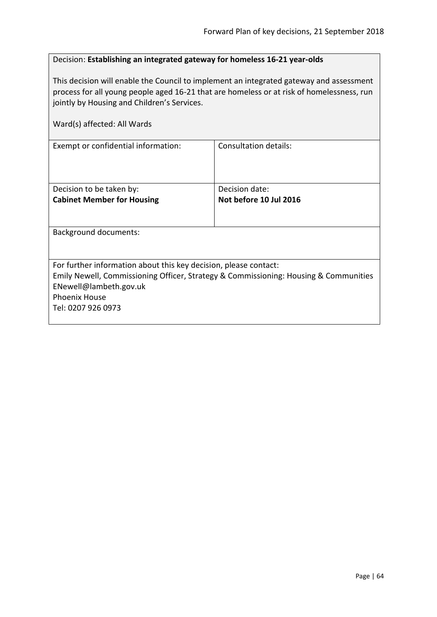<span id="page-63-0"></span>

| Decision: Establishing an integrated gateway for homeless 16-21 year-olds |  |
|---------------------------------------------------------------------------|--|
|                                                                           |  |

This decision will enable the Council to implement an integrated gateway and assessment process for all young people aged 16-21 that are homeless or at risk of homelessness, run jointly by Housing and Children's Services.

| Ward(s) affected: All Wards                                                                                                                                                                                                      |                                          |  |
|----------------------------------------------------------------------------------------------------------------------------------------------------------------------------------------------------------------------------------|------------------------------------------|--|
| Exempt or confidential information:                                                                                                                                                                                              | Consultation details:                    |  |
| Decision to be taken by:                                                                                                                                                                                                         | Decision date:<br>Not before 10 Jul 2016 |  |
| <b>Cabinet Member for Housing</b>                                                                                                                                                                                                |                                          |  |
| <b>Background documents:</b>                                                                                                                                                                                                     |                                          |  |
| For further information about this key decision, please contact:<br>Emily Newell, Commissioning Officer, Strategy & Commissioning: Housing & Communities<br>ENewell@lambeth.gov.uk<br><b>Phoenix House</b><br>Tel: 0207 926 0973 |                                          |  |
|                                                                                                                                                                                                                                  |                                          |  |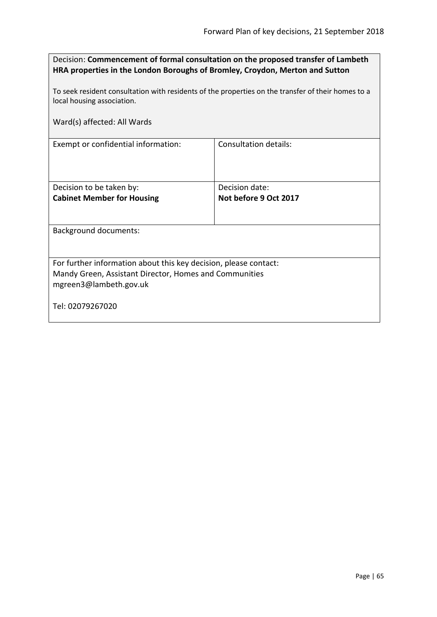| Decision: Commencement of formal consultation on the proposed transfer of Lambeth |
|-----------------------------------------------------------------------------------|
| HRA properties in the London Boroughs of Bromley, Croydon, Merton and Sutton      |

To seek resident consultation with residents of the properties on the transfer of their homes to a local housing association.

<span id="page-64-0"></span>**Consultation details:** 

| Ward(s) affected: All Wards |
|-----------------------------|
|-----------------------------|

| Exempt or confidential information: |  |
|-------------------------------------|--|
|-------------------------------------|--|

| Decision to be taken by:<br><b>Cabinet Member for Housing</b>                                                                                        | Decision date:<br>Not before 9 Oct 2017 |  |
|------------------------------------------------------------------------------------------------------------------------------------------------------|-----------------------------------------|--|
| <b>Background documents:</b>                                                                                                                         |                                         |  |
| For further information about this key decision, please contact:<br>Mandy Green, Assistant Director, Homes and Communities<br>mgreen3@lambeth.gov.uk |                                         |  |
| Tel: 02079267020                                                                                                                                     |                                         |  |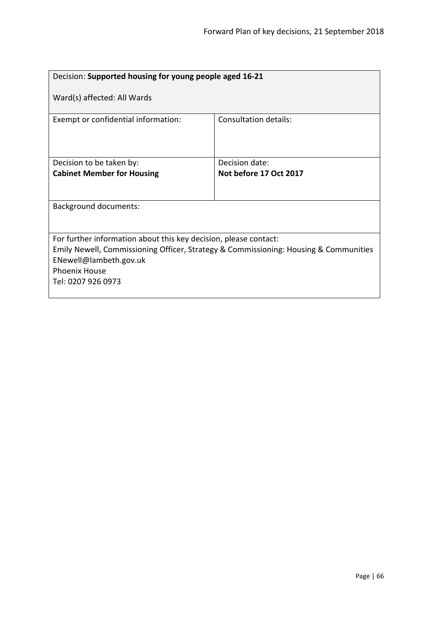<span id="page-65-0"></span>

| Decision: Supported housing for young people aged 16-21                              |                        |  |
|--------------------------------------------------------------------------------------|------------------------|--|
| Ward(s) affected: All Wards                                                          |                        |  |
| Exempt or confidential information:                                                  | Consultation details:  |  |
| Decision to be taken by:                                                             | Decision date:         |  |
| <b>Cabinet Member for Housing</b>                                                    | Not before 17 Oct 2017 |  |
|                                                                                      |                        |  |
| <b>Background documents:</b>                                                         |                        |  |
|                                                                                      |                        |  |
| For further information about this key decision, please contact:                     |                        |  |
| Emily Newell, Commissioning Officer, Strategy & Commissioning: Housing & Communities |                        |  |
| ENewell@lambeth.gov.uk                                                               |                        |  |
| <b>Phoenix House</b>                                                                 |                        |  |
| Tel: 0207 926 0973                                                                   |                        |  |
|                                                                                      |                        |  |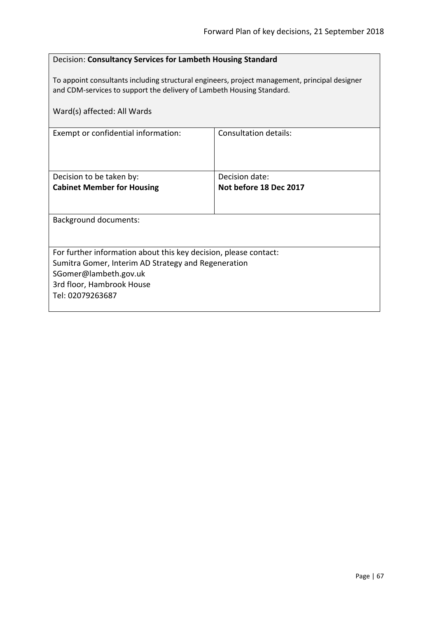<span id="page-66-0"></span>

| Decision: Consultancy Services for Lambeth Housing Standard                                                                                                            |                        |  |
|------------------------------------------------------------------------------------------------------------------------------------------------------------------------|------------------------|--|
| To appoint consultants including structural engineers, project management, principal designer<br>and CDM-services to support the delivery of Lambeth Housing Standard. |                        |  |
| Ward(s) affected: All Wards                                                                                                                                            |                        |  |
| Exempt or confidential information:                                                                                                                                    | Consultation details:  |  |
| Decision to be taken by:                                                                                                                                               | Decision date:         |  |
| <b>Cabinet Member for Housing</b>                                                                                                                                      | Not before 18 Dec 2017 |  |
| <b>Background documents:</b>                                                                                                                                           |                        |  |
| For further information about this key decision, please contact:                                                                                                       |                        |  |
| Sumitra Gomer, Interim AD Strategy and Regeneration                                                                                                                    |                        |  |
| SGomer@lambeth.gov.uk                                                                                                                                                  |                        |  |
| 3rd floor, Hambrook House<br>Tel: 02079263687                                                                                                                          |                        |  |
|                                                                                                                                                                        |                        |  |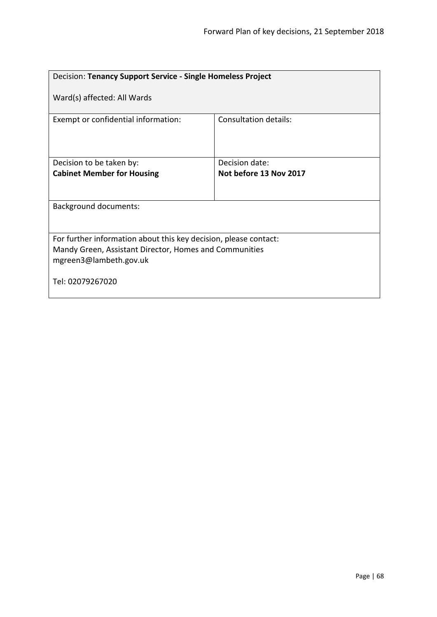<span id="page-67-0"></span>

| Decision: Tenancy Support Service - Single Homeless Project                                                                                          |                              |  |
|------------------------------------------------------------------------------------------------------------------------------------------------------|------------------------------|--|
| Ward(s) affected: All Wards                                                                                                                          |                              |  |
| Exempt or confidential information:                                                                                                                  | <b>Consultation details:</b> |  |
| Decision to be taken by:                                                                                                                             | Decision date:               |  |
| <b>Cabinet Member for Housing</b>                                                                                                                    | Not before 13 Nov 2017       |  |
| <b>Background documents:</b>                                                                                                                         |                              |  |
| For further information about this key decision, please contact:<br>Mandy Green, Assistant Director, Homes and Communities<br>mgreen3@lambeth.gov.uk |                              |  |
| Tel: 02079267020                                                                                                                                     |                              |  |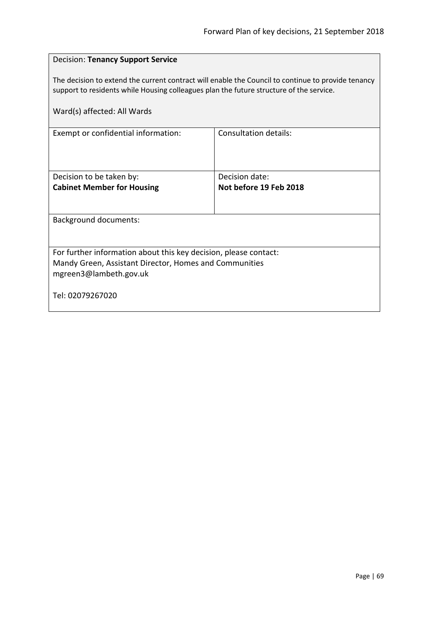<span id="page-68-0"></span>

| <b>Decision: Tenancy Support Service</b>                                                                                                                                                                                     |                        |  |
|------------------------------------------------------------------------------------------------------------------------------------------------------------------------------------------------------------------------------|------------------------|--|
| The decision to extend the current contract will enable the Council to continue to provide tenancy<br>support to residents while Housing colleagues plan the future structure of the service.<br>Ward(s) affected: All Wards |                        |  |
| Exempt or confidential information:                                                                                                                                                                                          | Consultation details:  |  |
|                                                                                                                                                                                                                              |                        |  |
| Decision to be taken by:                                                                                                                                                                                                     | Decision date:         |  |
| <b>Cabinet Member for Housing</b>                                                                                                                                                                                            | Not before 19 Feb 2018 |  |
|                                                                                                                                                                                                                              |                        |  |
| <b>Background documents:</b>                                                                                                                                                                                                 |                        |  |
|                                                                                                                                                                                                                              |                        |  |
| For further information about this key decision, please contact:                                                                                                                                                             |                        |  |
| Mandy Green, Assistant Director, Homes and Communities                                                                                                                                                                       |                        |  |
| mgreen3@lambeth.gov.uk                                                                                                                                                                                                       |                        |  |
| Tel: 02079267020                                                                                                                                                                                                             |                        |  |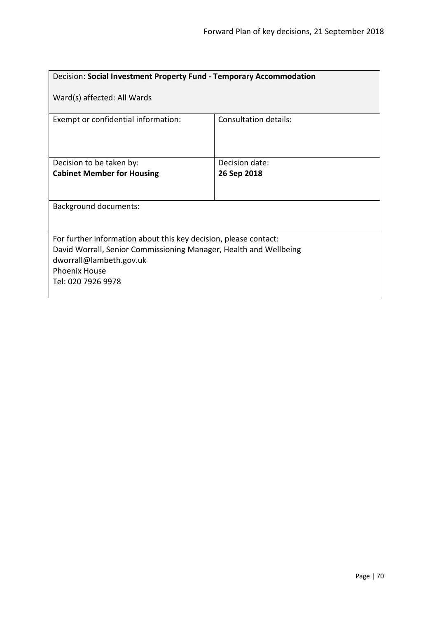<span id="page-69-0"></span>

| Decision: Social Investment Property Fund - Temporary Accommodation                                                                                                                                            |                       |  |
|----------------------------------------------------------------------------------------------------------------------------------------------------------------------------------------------------------------|-----------------------|--|
| Ward(s) affected: All Wards                                                                                                                                                                                    |                       |  |
| Exempt or confidential information:                                                                                                                                                                            | Consultation details: |  |
| Decision to be taken by:                                                                                                                                                                                       | Decision date:        |  |
| <b>Cabinet Member for Housing</b>                                                                                                                                                                              | 26 Sep 2018           |  |
| <b>Background documents:</b>                                                                                                                                                                                   |                       |  |
| For further information about this key decision, please contact:<br>David Worrall, Senior Commissioning Manager, Health and Wellbeing<br>dworrall@lambeth.gov.uk<br><b>Phoenix House</b><br>Tel: 020 7926 9978 |                       |  |